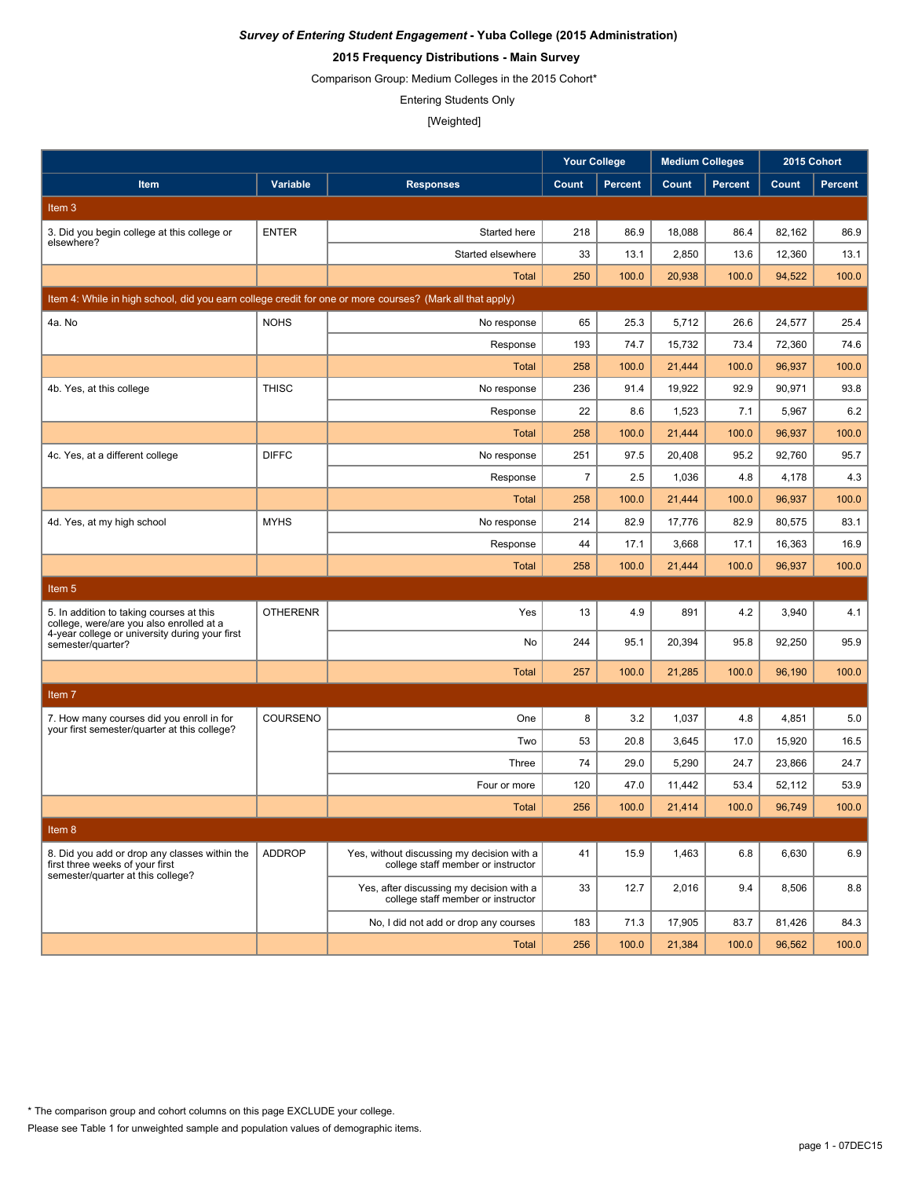## **2015 Frequency Distributions - Main Survey**

Comparison Group: Medium Colleges in the 2015 Cohort\*

Entering Students Only

|                                                                                                                       |                 |                                                                                  | <b>Your College</b> |                | <b>Medium Colleges</b> |                | 2015 Cohort |                |
|-----------------------------------------------------------------------------------------------------------------------|-----------------|----------------------------------------------------------------------------------|---------------------|----------------|------------------------|----------------|-------------|----------------|
| Item                                                                                                                  | Variable        | <b>Responses</b>                                                                 | Count               | <b>Percent</b> | Count                  | <b>Percent</b> | Count       | <b>Percent</b> |
| Item <sub>3</sub>                                                                                                     |                 |                                                                                  |                     |                |                        |                |             |                |
| 3. Did you begin college at this college or                                                                           | <b>ENTER</b>    | Started here                                                                     | 218                 | 86.9           | 18,088                 | 86.4           | 82,162      | 86.9           |
| elsewhere?                                                                                                            |                 | Started elsewhere                                                                | 33                  | 13.1           | 2,850                  | 13.6           | 12,360      | 13.1           |
|                                                                                                                       |                 | Total                                                                            | 250                 | 100.0          | 20,938                 | 100.0          | 94,522      | 100.0          |
| Item 4: While in high school, did you earn college credit for one or more courses? (Mark all that apply)              |                 |                                                                                  |                     |                |                        |                |             |                |
| 4a. No                                                                                                                | <b>NOHS</b>     | No response                                                                      | 65                  | 25.3           | 5,712                  | 26.6           | 24,577      | 25.4           |
|                                                                                                                       |                 | Response                                                                         | 193                 | 74.7           | 15,732                 | 73.4           | 72,360      | 74.6           |
|                                                                                                                       |                 | <b>Total</b>                                                                     | 258                 | 100.0          | 21,444                 | 100.0          | 96,937      | 100.0          |
| 4b. Yes, at this college                                                                                              | <b>THISC</b>    | No response                                                                      | 236                 | 91.4           | 19,922                 | 92.9           | 90,971      | 93.8           |
|                                                                                                                       |                 | Response                                                                         | 22                  | 8.6            | 1,523                  | 7.1            | 5,967       | 6.2            |
|                                                                                                                       |                 | <b>Total</b>                                                                     | 258                 | 100.0          | 21,444                 | 100.0          | 96,937      | 100.0          |
| 4c. Yes, at a different college                                                                                       | <b>DIFFC</b>    | No response                                                                      | 251                 | 97.5           | 20,408                 | 95.2           | 92,760      | 95.7           |
|                                                                                                                       |                 | Response                                                                         | $\overline{7}$      | 2.5            | 1,036                  | 4.8            | 4,178       | 4.3            |
|                                                                                                                       |                 | Total                                                                            | 258                 | 100.0          | 21,444                 | 100.0          | 96,937      | 100.0          |
| 4d. Yes, at my high school                                                                                            | <b>MYHS</b>     | No response                                                                      | 214                 | 82.9           | 17,776                 | 82.9           | 80,575      | 83.1           |
|                                                                                                                       |                 | Response                                                                         | 44                  | 17.1           | 3,668                  | 17.1           | 16,363      | 16.9           |
|                                                                                                                       |                 | <b>Total</b>                                                                     | 258                 | 100.0          | 21,444                 | 100.0          | 96,937      | 100.0          |
| Item 5                                                                                                                |                 |                                                                                  |                     |                |                        |                |             |                |
| 5. In addition to taking courses at this<br>college, were/are you also enrolled at a                                  | <b>OTHERENR</b> | Yes                                                                              | 13                  | 4.9            | 891                    | 4.2            | 3,940       | 4.1            |
| 4-year college or university during your first<br>semester/quarter?                                                   |                 | No                                                                               | 244                 | 95.1           | 20,394                 | 95.8           | 92,250      | 95.9           |
|                                                                                                                       |                 | <b>Total</b>                                                                     | 257                 | 100.0          | 21,285                 | 100.0          | 96,190      | 100.0          |
| Item <sub>7</sub>                                                                                                     |                 |                                                                                  |                     |                |                        |                |             |                |
| 7. How many courses did you enroll in for                                                                             | COURSENO        | One                                                                              | 8                   | 3.2            | 1,037                  | 4.8            | 4,851       | 5.0            |
| your first semester/quarter at this college?                                                                          |                 | Two                                                                              | 53                  | 20.8           | 3,645                  | 17.0           | 15,920      | 16.5           |
|                                                                                                                       |                 | Three                                                                            | 74                  | 29.0           | 5,290                  | 24.7           | 23,866      | 24.7           |
|                                                                                                                       |                 | Four or more                                                                     | 120                 | 47.0           | 11,442                 | 53.4           | 52,112      | 53.9           |
|                                                                                                                       |                 | Total                                                                            | 256                 | 100.0          | 21,414                 | 100.0          | 96,749      | 100.0          |
| Item 8                                                                                                                |                 |                                                                                  |                     |                |                        |                |             |                |
| 8. Did you add or drop any classes within the<br>first three weeks of your first<br>semester/quarter at this college? | <b>ADDROP</b>   | Yes, without discussing my decision with a<br>college staff member or instructor | 41                  | 15.9           | 1,463                  | 6.8            | 6,630       | 6.9            |
|                                                                                                                       |                 | Yes, after discussing my decision with a<br>college staff member or instructor   | 33                  | 12.7           | 2,016                  | 9.4            | 8,506       | 8.8            |
|                                                                                                                       |                 | No, I did not add or drop any courses                                            | 183                 | 71.3           | 17,905                 | 83.7           | 81,426      | 84.3           |
|                                                                                                                       |                 | Total                                                                            | 256                 | 100.0          | 21,384                 | 100.0          | 96,562      | 100.0          |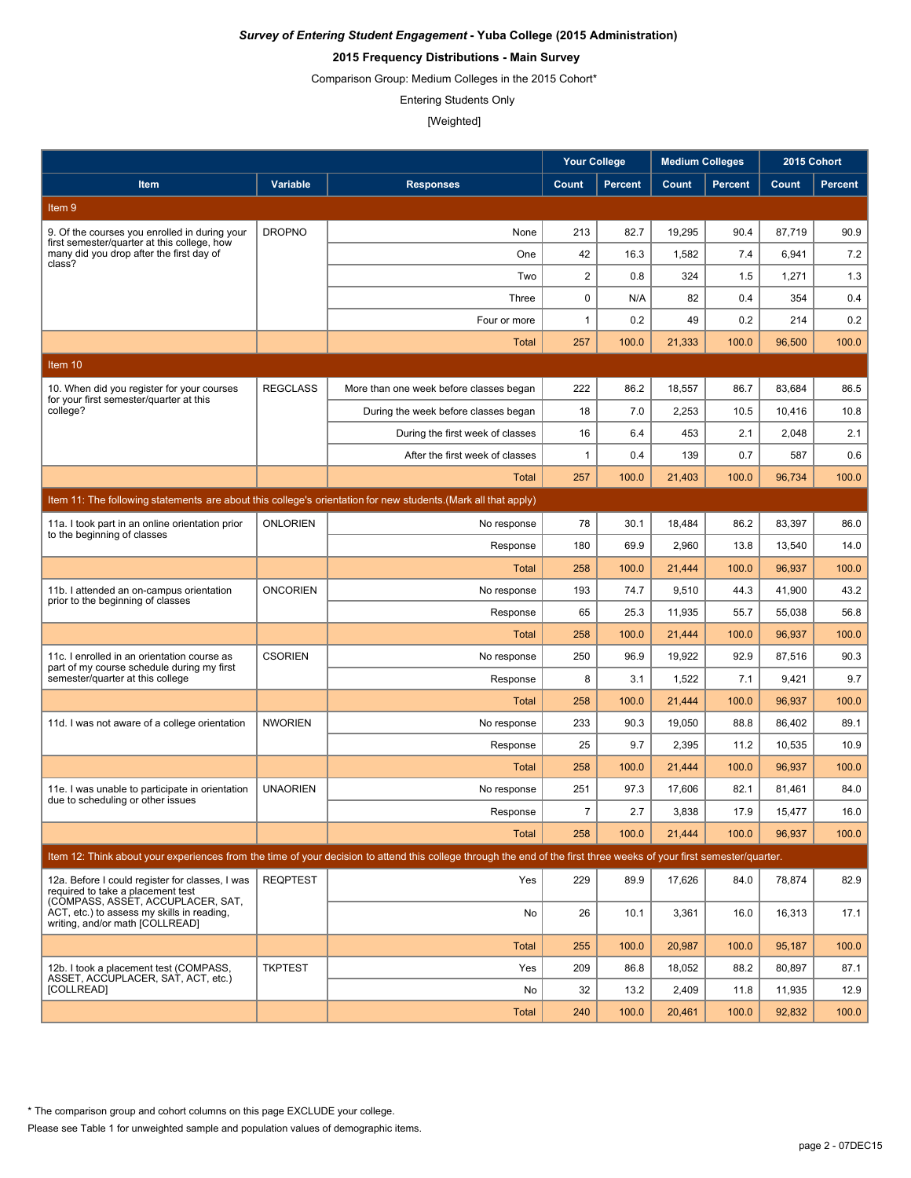## **2015 Frequency Distributions - Main Survey**

Comparison Group: Medium Colleges in the 2015 Cohort\*

Entering Students Only

#### [Weighted]

|                                                                                                                           |                 |                                                                                                                                                                      | <b>Your College</b> |                | <b>Medium Colleges</b> |                | 2015 Cohort |                |
|---------------------------------------------------------------------------------------------------------------------------|-----------------|----------------------------------------------------------------------------------------------------------------------------------------------------------------------|---------------------|----------------|------------------------|----------------|-------------|----------------|
| Item                                                                                                                      | Variable        | <b>Responses</b>                                                                                                                                                     | Count               | <b>Percent</b> | Count                  | <b>Percent</b> | Count       | <b>Percent</b> |
| Item 9                                                                                                                    |                 |                                                                                                                                                                      |                     |                |                        |                |             |                |
| 9. Of the courses you enrolled in during your                                                                             | <b>DROPNO</b>   | None                                                                                                                                                                 | 213                 | 82.7           | 19,295                 | 90.4           | 87,719      | 90.9           |
| first semester/quarter at this college, how<br>many did you drop after the first day of                                   |                 | One                                                                                                                                                                  | 42                  | 16.3           | 1,582                  | 7.4            | 6,941       | 7.2            |
| class?                                                                                                                    |                 | Two                                                                                                                                                                  | $\overline{2}$      | 0.8            | 324                    | 1.5            | 1,271       | 1.3            |
|                                                                                                                           |                 | Three                                                                                                                                                                | $\mathbf 0$         | N/A            | 82                     | 0.4            | 354         | 0.4            |
|                                                                                                                           |                 | Four or more                                                                                                                                                         | $\mathbf{1}$        | 0.2            | 49                     | 0.2            | 214         | 0.2            |
|                                                                                                                           |                 | Total                                                                                                                                                                | 257                 | 100.0          | 21,333                 | 100.0          | 96,500      | 100.0          |
| Item 10                                                                                                                   |                 |                                                                                                                                                                      |                     |                |                        |                |             |                |
| 10. When did you register for your courses                                                                                | <b>REGCLASS</b> | More than one week before classes began                                                                                                                              | 222                 | 86.2           | 18,557                 | 86.7           | 83,684      | 86.5           |
| for your first semester/quarter at this<br>college?                                                                       |                 | During the week before classes began                                                                                                                                 | 18                  | 7.0            | 2,253                  | 10.5           | 10,416      | 10.8           |
|                                                                                                                           |                 | During the first week of classes                                                                                                                                     | 16                  | 6.4            | 453                    | 2.1            | 2,048       | 2.1            |
|                                                                                                                           |                 | After the first week of classes                                                                                                                                      | $\mathbf{1}$        | 0.4            | 139                    | 0.7            | 587         | 0.6            |
|                                                                                                                           |                 | Total                                                                                                                                                                | 257                 | 100.0          | 21,403                 | 100.0          | 96,734      | 100.0          |
|                                                                                                                           |                 | Item 11: The following statements are about this college's orientation for new students. (Mark all that apply)                                                       |                     |                |                        |                |             |                |
| 11a. I took part in an online orientation prior<br>to the beginning of classes                                            | <b>ONLORIEN</b> | No response                                                                                                                                                          | 78                  | 30.1           | 18,484                 | 86.2           | 83,397      | 86.0           |
|                                                                                                                           |                 | Response                                                                                                                                                             | 180                 | 69.9           | 2,960                  | 13.8           | 13,540      | 14.0           |
|                                                                                                                           |                 | Total                                                                                                                                                                | 258                 | 100.0          | 21,444                 | 100.0          | 96,937      | 100.0          |
| 11b. I attended an on-campus orientation                                                                                  | <b>ONCORIEN</b> | No response                                                                                                                                                          | 193                 | 74.7           | 9,510                  | 44.3           | 41,900      | 43.2           |
| prior to the beginning of classes                                                                                         |                 | Response                                                                                                                                                             | 65                  | 25.3           | 11,935                 | 55.7           | 55,038      | 56.8           |
|                                                                                                                           |                 | Total                                                                                                                                                                | 258                 | 100.0          | 21,444                 | 100.0          | 96,937      | 100.0          |
| 11c. I enrolled in an orientation course as<br>part of my course schedule during my first                                 | <b>CSORIEN</b>  | No response                                                                                                                                                          | 250                 | 96.9           | 19,922                 | 92.9           | 87,516      | 90.3           |
| semester/quarter at this college                                                                                          |                 | Response                                                                                                                                                             | 8                   | 3.1            | 1,522                  | 7.1            | 9,421       | 9.7            |
|                                                                                                                           |                 | Total                                                                                                                                                                | 258                 | 100.0          | 21,444                 | 100.0          | 96,937      | 100.0          |
| 11d. I was not aware of a college orientation                                                                             | <b>NWORIEN</b>  | No response                                                                                                                                                          | 233                 | 90.3           | 19,050                 | 88.8           | 86,402      | 89.1           |
|                                                                                                                           |                 | Response                                                                                                                                                             | 25                  | 9.7            | 2,395                  | 11.2           | 10,535      | 10.9           |
|                                                                                                                           |                 | Total                                                                                                                                                                | 258                 | 100.0          | 21,444                 | 100.0          | 96,937      | 100.0          |
| 11e. I was unable to participate in orientation<br>due to scheduling or other issues                                      | <b>UNAORIEN</b> | No response                                                                                                                                                          | 251                 | 97.3           | 17,606                 | 82.1           | 81,461      | 84.0           |
|                                                                                                                           |                 | Response                                                                                                                                                             | $\overline{7}$      | 2.7            | 3.838                  | 17.9           | 15,477      | 16.0           |
|                                                                                                                           |                 | <b>Total</b>                                                                                                                                                         | 258                 | 100.0          | 21,444                 | 100.0          | 96,937      | 100.0          |
|                                                                                                                           |                 | Item 12: Think about your experiences from the time of your decision to attend this college through the end of the first three weeks of your first semester/quarter. |                     |                |                        |                |             |                |
| 12a. Before I could register for classes, I was<br>required to take a placement test<br>(COMPASS, ASSET, ACCUPLACER, SAT, | <b>REQPTEST</b> | Yes                                                                                                                                                                  | 229                 | 89.9           | 17,626                 | 84.0           | 78,874      | 82.9           |
| ACT, etc.) to assess my skills in reading,<br>writing, and/or math [COLLREAD]                                             |                 | No                                                                                                                                                                   | 26                  | 10.1           | 3,361                  | 16.0           | 16,313      | 17.1           |
|                                                                                                                           |                 | <b>Total</b>                                                                                                                                                         | 255                 | 100.0          | 20,987                 | 100.0          | 95,187      | 100.0          |
| 12b. I took a placement test (COMPASS.<br>ASSET, ACCUPLACER, SAT, ACT, etc.)                                              | <b>TKPTEST</b>  | Yes                                                                                                                                                                  | 209                 | 86.8           | 18,052                 | 88.2           | 80,897      | 87.1           |
| [COLLREAD]                                                                                                                |                 | No                                                                                                                                                                   | 32                  | 13.2           | 2,409                  | 11.8           | 11,935      | 12.9           |
|                                                                                                                           |                 | <b>Total</b>                                                                                                                                                         | 240                 | 100.0          | 20,461                 | 100.0          | 92,832      | 100.0          |

\* The comparison group and cohort columns on this page EXCLUDE your college.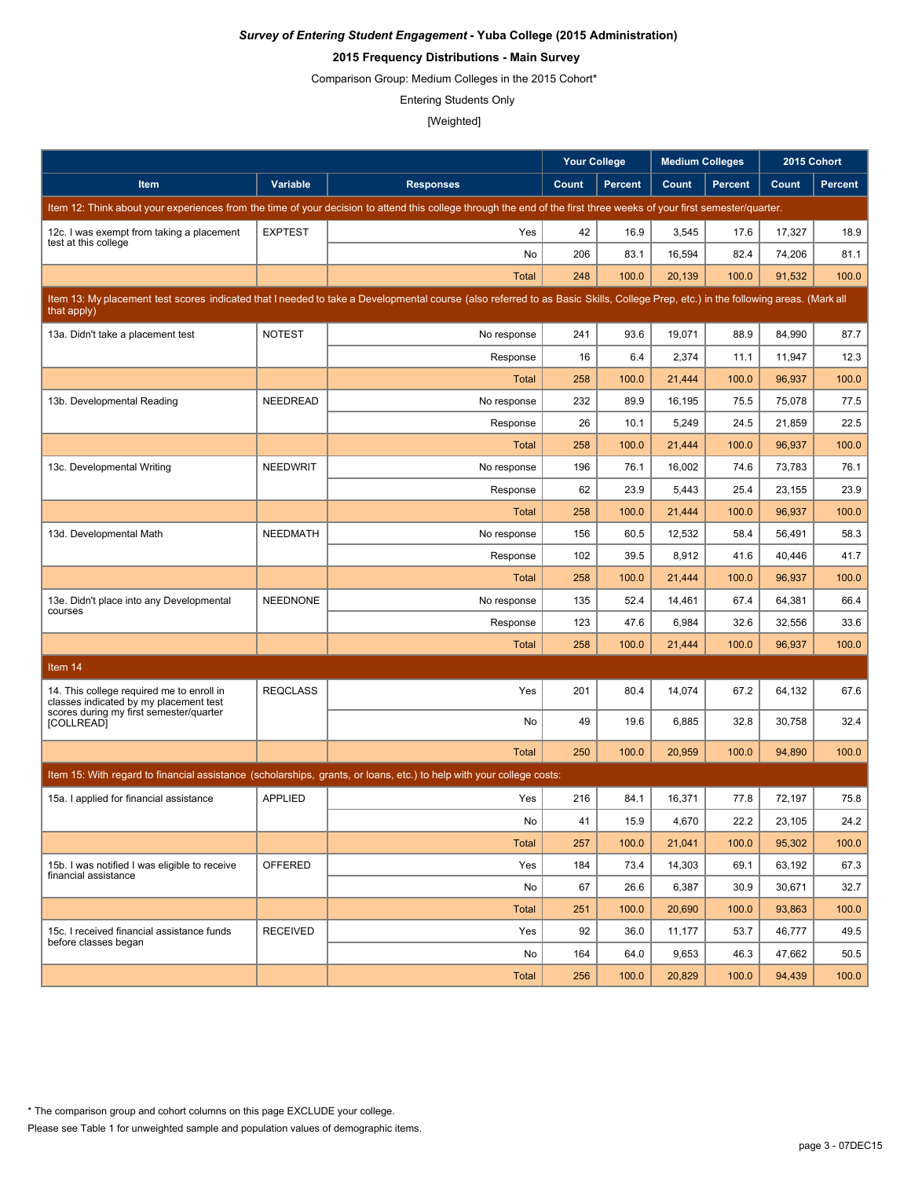## **2015 Frequency Distributions - Main Survey**

Comparison Group: Medium Colleges in the 2015 Cohort\*

Entering Students Only

|                                                                                     |                 |                                                                                                                                                                                   | <b>Your College</b> |                | <b>Medium Colleges</b> |                | 2015 Cohort |                |
|-------------------------------------------------------------------------------------|-----------------|-----------------------------------------------------------------------------------------------------------------------------------------------------------------------------------|---------------------|----------------|------------------------|----------------|-------------|----------------|
| Item                                                                                | <b>Variable</b> | <b>Responses</b>                                                                                                                                                                  | Count               | <b>Percent</b> | Count                  | <b>Percent</b> | Count       | <b>Percent</b> |
|                                                                                     |                 | Item 12: Think about your experiences from the time of your decision to attend this college through the end of the first three weeks of your first semester/quarter.              |                     |                |                        |                |             |                |
| 12c. I was exempt from taking a placement                                           | <b>EXPTEST</b>  | Yes                                                                                                                                                                               | 42                  | 16.9           | 3,545                  | 17.6           | 17,327      | 18.9           |
| test at this college                                                                |                 | No                                                                                                                                                                                | 206                 | 83.1           | 16,594                 | 82.4           | 74,206      | 81.1           |
|                                                                                     |                 | <b>Total</b>                                                                                                                                                                      | 248                 | 100.0          | 20,139                 | 100.0          | 91,532      | 100.0          |
| that apply)                                                                         |                 | Item 13: My placement test scores indicated that I needed to take a Developmental course (also referred to as Basic Skills, College Prep, etc.) in the following areas. (Mark all |                     |                |                        |                |             |                |
| 13a. Didn't take a placement test                                                   | <b>NOTEST</b>   | No response                                                                                                                                                                       | 241                 | 93.6           | 19,071                 | 88.9           | 84,990      | 87.7           |
|                                                                                     |                 | Response                                                                                                                                                                          | 16                  | 6.4            | 2,374                  | 11.1           | 11,947      | 12.3           |
|                                                                                     |                 | <b>Total</b>                                                                                                                                                                      | 258                 | 100.0          | 21,444                 | 100.0          | 96,937      | 100.0          |
| 13b. Developmental Reading                                                          | NEEDREAD        | No response                                                                                                                                                                       | 232                 | 89.9           | 16,195                 | 75.5           | 75,078      | 77.5           |
|                                                                                     |                 | Response                                                                                                                                                                          | 26                  | 10.1           | 5,249                  | 24.5           | 21,859      | 22.5           |
|                                                                                     |                 | Total                                                                                                                                                                             | 258                 | 100.0          | 21,444                 | 100.0          | 96,937      | 100.0          |
| 13c. Developmental Writing                                                          | <b>NEEDWRIT</b> | No response                                                                                                                                                                       | 196                 | 76.1           | 16,002                 | 74.6           | 73,783      | 76.1           |
|                                                                                     |                 | Response                                                                                                                                                                          | 62                  | 23.9           | 5,443                  | 25.4           | 23,155      | 23.9           |
|                                                                                     |                 | <b>Total</b>                                                                                                                                                                      | 258                 | 100.0          | 21.444                 | 100.0          | 96,937      | 100.0          |
| 13d. Developmental Math                                                             | <b>NEEDMATH</b> | No response                                                                                                                                                                       | 156                 | 60.5           | 12,532                 | 58.4           | 56,491      | 58.3           |
|                                                                                     |                 | Response                                                                                                                                                                          | 102                 | 39.5           | 8,912                  | 41.6           | 40,446      | 41.7           |
|                                                                                     |                 | <b>Total</b>                                                                                                                                                                      | 258                 | 100.0          | 21,444                 | 100.0          | 96,937      | 100.0          |
| 13e. Didn't place into any Developmental                                            | <b>NEEDNONE</b> | No response                                                                                                                                                                       | 135                 | 52.4           | 14,461                 | 67.4           | 64,381      | 66.4           |
| courses                                                                             |                 | Response                                                                                                                                                                          | 123                 | 47.6           | 6,984                  | 32.6           | 32,556      | 33.6           |
|                                                                                     |                 | <b>Total</b>                                                                                                                                                                      | 258                 | 100.0          | 21,444                 | 100.0          | 96,937      | 100.0          |
| Item 14                                                                             |                 |                                                                                                                                                                                   |                     |                |                        |                |             |                |
| 14. This college required me to enroll in<br>classes indicated by my placement test | <b>REQCLASS</b> | Yes                                                                                                                                                                               | 201                 | 80.4           | 14,074                 | 67.2           | 64,132      | 67.6           |
| scores during my first semester/quarter<br><b>[COLLREAD]</b>                        |                 | No                                                                                                                                                                                | 49                  | 19.6           | 6,885                  | 32.8           | 30,758      | 32.4           |
|                                                                                     |                 | <b>Total</b>                                                                                                                                                                      | 250                 | 100.0          | 20,959                 | 100.0          | 94,890      | 100.0          |
|                                                                                     |                 | Item 15: With regard to financial assistance (scholarships, grants, or loans, etc.) to help with your college costs:                                                              |                     |                |                        |                |             |                |
| 15a. I applied for financial assistance                                             | <b>APPLIED</b>  | Yes                                                                                                                                                                               | 216                 | 84.1           | 16,371                 | 77.8           | 72,197      | 75.8           |
|                                                                                     |                 | No                                                                                                                                                                                | 41                  | 15.9           | 4,670                  | 22.2           | 23,105      | 24.2           |
|                                                                                     |                 | <b>Total</b>                                                                                                                                                                      | 257                 | 100.0          | 21,041                 | 100.0          | 95,302      | 100.0          |
| 15b. I was notified I was eligible to receive                                       | OFFERED         | Yes                                                                                                                                                                               | 184                 | 73.4           | 14,303                 | 69.1           | 63,192      | 67.3           |
| financial assistance                                                                |                 | No                                                                                                                                                                                | 67                  | 26.6           | 6,387                  | 30.9           | 30,671      | 32.7           |
|                                                                                     |                 | <b>Total</b>                                                                                                                                                                      | 251                 | 100.0          | 20,690                 | 100.0          | 93,863      | 100.0          |
| 15c. I received financial assistance funds                                          | <b>RECEIVED</b> | Yes                                                                                                                                                                               | 92                  | 36.0           | 11,177                 | 53.7           | 46,777      | 49.5           |
| before classes began                                                                |                 | No                                                                                                                                                                                | 164                 | 64.0           | 9,653                  | 46.3           | 47,662      | 50.5           |
|                                                                                     |                 | <b>Total</b>                                                                                                                                                                      | 256                 | 100.0          | 20,829                 | 100.0          | 94,439      | 100.0          |

Please see Table 1 for unweighted sample and population values of demographic items.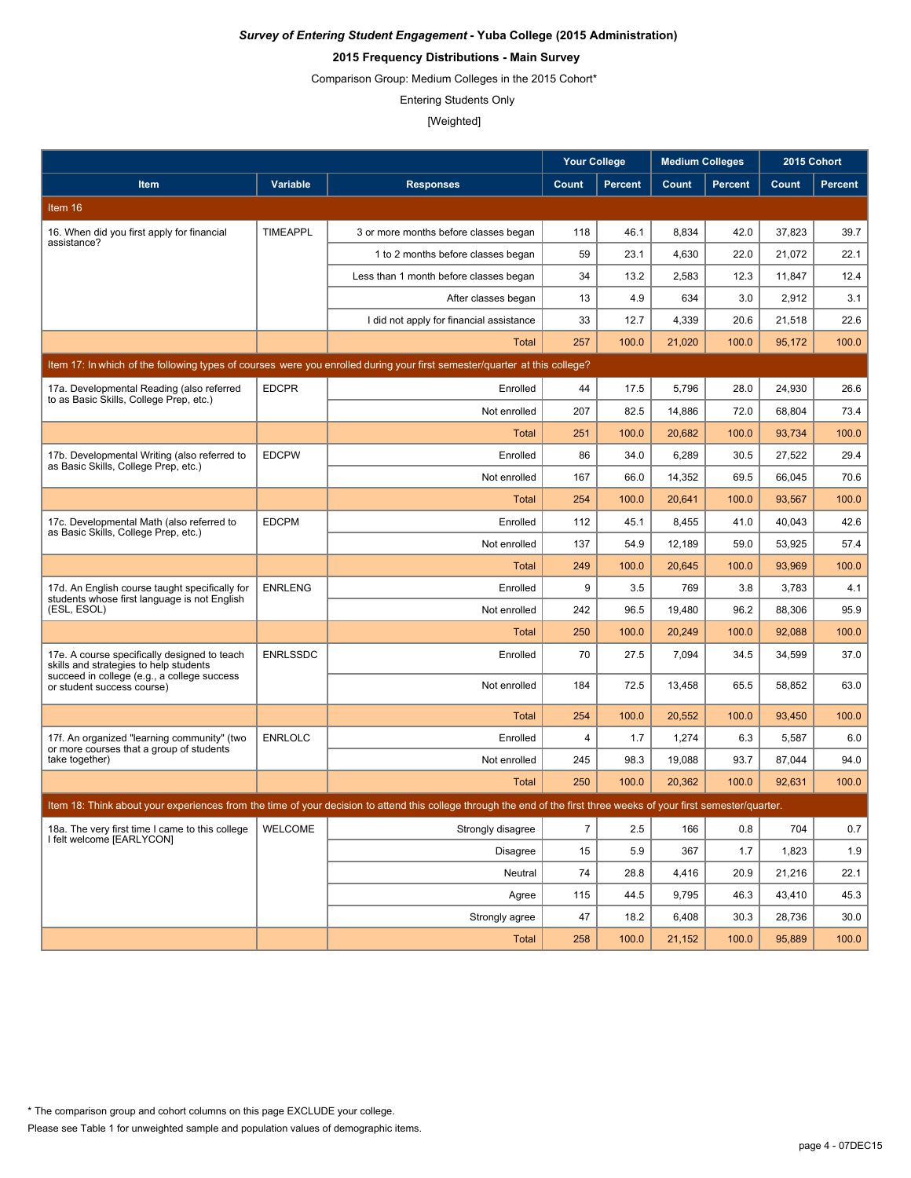# **2015 Frequency Distributions - Main Survey**

Comparison Group: Medium Colleges in the 2015 Cohort\*

Entering Students Only

|                                                                                                |                 |                                                                                                                                                                      | <b>Your College</b> |                | <b>Medium Colleges</b> |                | 2015 Cohort |                |
|------------------------------------------------------------------------------------------------|-----------------|----------------------------------------------------------------------------------------------------------------------------------------------------------------------|---------------------|----------------|------------------------|----------------|-------------|----------------|
| Item                                                                                           | Variable        | <b>Responses</b>                                                                                                                                                     | Count               | <b>Percent</b> | Count                  | <b>Percent</b> | Count       | <b>Percent</b> |
| Item 16                                                                                        |                 |                                                                                                                                                                      |                     |                |                        |                |             |                |
| 16. When did you first apply for financial                                                     | <b>TIMEAPPL</b> | 3 or more months before classes began                                                                                                                                | 118                 | 46.1           | 8,834                  | 42.0           | 37,823      | 39.7           |
| assistance?                                                                                    |                 | 1 to 2 months before classes began                                                                                                                                   | 59                  | 23.1           | 4,630                  | 22.0           | 21,072      | 22.1           |
|                                                                                                |                 | Less than 1 month before classes began                                                                                                                               | 34                  | 13.2           | 2,583                  | 12.3           | 11,847      | 12.4           |
|                                                                                                |                 | After classes began                                                                                                                                                  | 13                  | 4.9            | 634                    | 3.0            | 2,912       | 3.1            |
|                                                                                                |                 | I did not apply for financial assistance                                                                                                                             | 33                  | 12.7           | 4,339                  | 20.6           | 21,518      | 22.6           |
|                                                                                                |                 | Total                                                                                                                                                                | 257                 | 100.0          | 21,020                 | 100.0          | 95,172      | 100.0          |
|                                                                                                |                 | Item 17: In which of the following types of courses were you enrolled during your first semester/guarter at this college?                                            |                     |                |                        |                |             |                |
| 17a. Developmental Reading (also referred<br>to as Basic Skills, College Prep, etc.)           | <b>EDCPR</b>    | Enrolled                                                                                                                                                             | 44                  | 17.5           | 5,796                  | 28.0           | 24,930      | 26.6           |
|                                                                                                |                 | Not enrolled                                                                                                                                                         | 207                 | 82.5           | 14,886                 | 72.0           | 68,804      | 73.4           |
|                                                                                                |                 | Total                                                                                                                                                                | 251                 | 100.0          | 20,682                 | 100.0          | 93,734      | 100.0          |
| 17b. Developmental Writing (also referred to<br>as Basic Skills, College Prep, etc.)           | <b>EDCPW</b>    | Enrolled                                                                                                                                                             | 86                  | 34.0           | 6,289                  | 30.5           | 27,522      | 29.4           |
|                                                                                                |                 | Not enrolled                                                                                                                                                         | 167                 | 66.0           | 14,352                 | 69.5           | 66,045      | 70.6           |
|                                                                                                |                 | <b>Total</b>                                                                                                                                                         | 254                 | 100.0          | 20,641                 | 100.0          | 93,567      | 100.0          |
| 17c. Developmental Math (also referred to<br>as Basic Skills, College Prep, etc.)              | <b>EDCPM</b>    | Enrolled                                                                                                                                                             | 112                 | 45.1           | 8,455                  | 41.0           | 40,043      | 42.6           |
|                                                                                                |                 | Not enrolled                                                                                                                                                         | 137                 | 54.9           | 12,189                 | 59.0           | 53,925      | 57.4           |
|                                                                                                |                 | <b>Total</b>                                                                                                                                                         | 249                 | 100.0          | 20,645                 | 100.0          | 93,969      | 100.0          |
| 17d. An English course taught specifically for<br>students whose first language is not English | <b>ENRLENG</b>  | Enrolled                                                                                                                                                             | 9                   | 3.5            | 769                    | 3.8            | 3,783       | 4.1            |
| (ESL, ESOL)                                                                                    |                 | Not enrolled                                                                                                                                                         | 242                 | 96.5           | 19,480                 | 96.2           | 88,306      | 95.9           |
|                                                                                                |                 | <b>Total</b>                                                                                                                                                         | 250                 | 100.0          | 20,249                 | 100.0          | 92,088      | 100.0          |
| 17e. A course specifically designed to teach<br>skills and strategies to help students         | <b>ENRLSSDC</b> | Enrolled                                                                                                                                                             | 70                  | 27.5           | 7,094                  | 34.5           | 34,599      | 37.0           |
| succeed in college (e.g., a college success<br>or student success course)                      |                 | Not enrolled                                                                                                                                                         | 184                 | 72.5           | 13,458                 | 65.5           | 58,852      | 63.0           |
|                                                                                                |                 | <b>Total</b>                                                                                                                                                         | 254                 | 100.0          | 20,552                 | 100.0          | 93,450      | 100.0          |
| 17f. An organized "learning community" (two<br>or more courses that a group of students        | <b>ENRLOLC</b>  | Enrolled                                                                                                                                                             | 4                   | 1.7            | 1,274                  | 6.3            | 5,587       | 6.0            |
| take together)                                                                                 |                 | Not enrolled                                                                                                                                                         | 245                 | 98.3           | 19,088                 | 93.7           | 87,044      | 94.0           |
|                                                                                                |                 | Total                                                                                                                                                                | 250                 | 100.0          | 20,362                 | 100.0          | 92,631      | 100.0          |
|                                                                                                |                 | Item 18: Think about your experiences from the time of your decision to attend this college through the end of the first three weeks of your first semester/quarter. |                     |                |                        |                |             |                |
| 18a. The very first time I came to this college<br>I felt welcome [EARLYCON]                   | <b>WELCOME</b>  | Strongly disagree                                                                                                                                                    | $\overline{7}$      | 2.5            | 166                    | 0.8            | 704         | 0.7            |
|                                                                                                |                 | Disagree                                                                                                                                                             | 15                  | 5.9            | 367                    | 1.7            | 1,823       | 1.9            |
|                                                                                                |                 | Neutral                                                                                                                                                              | 74                  | 28.8           | 4,416                  | 20.9           | 21,216      | 22.1           |
|                                                                                                |                 | Agree                                                                                                                                                                | 115                 | 44.5           | 9,795                  | 46.3           | 43,410      | 45.3           |
|                                                                                                |                 | Strongly agree                                                                                                                                                       | 47                  | 18.2           | 6,408                  | 30.3           | 28,736      | 30.0           |
|                                                                                                |                 | Total                                                                                                                                                                | 258                 | 100.0          | 21,152                 | 100.0          | 95.889      | 100.0          |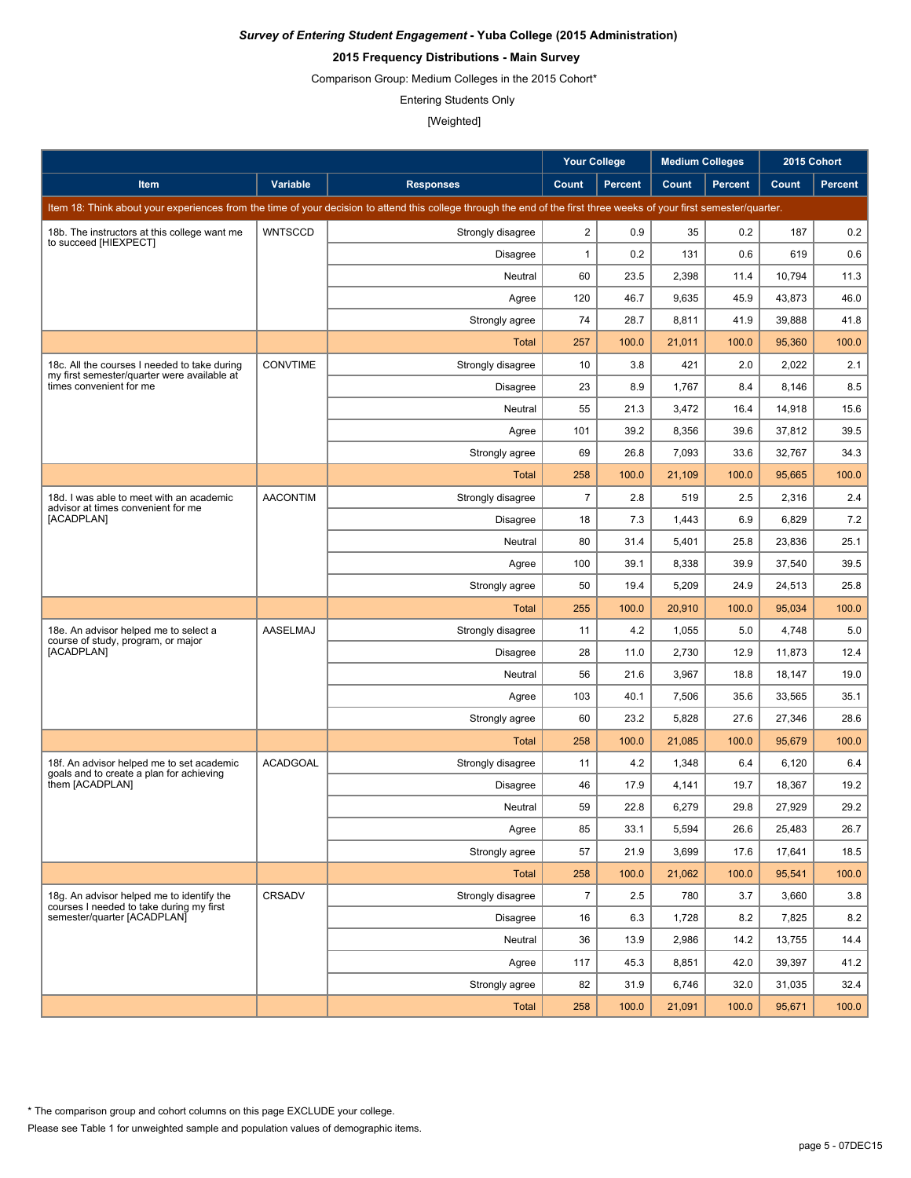# **2015 Frequency Distributions - Main Survey**

Comparison Group: Medium Colleges in the 2015 Cohort\*

Entering Students Only

|                                                                                             |                 |                                                                                                                                                                      | <b>Your College</b> |                | <b>Medium Colleges</b> |                | 2015 Cohort |                |
|---------------------------------------------------------------------------------------------|-----------------|----------------------------------------------------------------------------------------------------------------------------------------------------------------------|---------------------|----------------|------------------------|----------------|-------------|----------------|
| Item                                                                                        | Variable        | <b>Responses</b>                                                                                                                                                     | Count               | <b>Percent</b> | Count                  | <b>Percent</b> | Count       | <b>Percent</b> |
|                                                                                             |                 | Item 18: Think about your experiences from the time of your decision to attend this college through the end of the first three weeks of your first semester/quarter. |                     |                |                        |                |             |                |
| 18b. The instructors at this college want me                                                | <b>WNTSCCD</b>  | Strongly disagree                                                                                                                                                    | $\overline{2}$      | 0.9            | 35                     | 0.2            | 187         | 0.2            |
| to succeed [HIEXPECT]                                                                       |                 | Disagree                                                                                                                                                             | $\mathbf{1}$        | 0.2            | 131                    | 0.6            | 619         | 0.6            |
|                                                                                             |                 | Neutral                                                                                                                                                              | 60                  | 23.5           | 2,398                  | 11.4           | 10,794      | 11.3           |
|                                                                                             |                 | Agree                                                                                                                                                                | 120                 | 46.7           | 9,635                  | 45.9           | 43,873      | 46.0           |
|                                                                                             |                 | Strongly agree                                                                                                                                                       | 74                  | 28.7           | 8,811                  | 41.9           | 39,888      | 41.8           |
|                                                                                             |                 | Total                                                                                                                                                                | 257                 | 100.0          | 21,011                 | 100.0          | 95,360      | 100.0          |
| 18c. All the courses I needed to take during<br>my first semester/quarter were available at | <b>CONVTIME</b> | Strongly disagree                                                                                                                                                    | 10                  | 3.8            | 421                    | 2.0            | 2,022       | 2.1            |
| times convenient for me                                                                     |                 | Disagree                                                                                                                                                             | 23                  | 8.9            | 1,767                  | 8.4            | 8,146       | 8.5            |
|                                                                                             |                 | Neutral                                                                                                                                                              | 55                  | 21.3           | 3,472                  | 16.4           | 14,918      | 15.6           |
|                                                                                             |                 | Agree                                                                                                                                                                | 101                 | 39.2           | 8,356                  | 39.6           | 37,812      | 39.5           |
|                                                                                             |                 | Strongly agree                                                                                                                                                       | 69                  | 26.8           | 7,093                  | 33.6           | 32,767      | 34.3           |
|                                                                                             |                 | <b>Total</b>                                                                                                                                                         | 258                 | 100.0          | 21,109                 | 100.0          | 95,665      | 100.0          |
| 18d. I was able to meet with an academic<br>advisor at times convenient for me              | <b>AACONTIM</b> | Strongly disagree                                                                                                                                                    | $\overline{7}$      | 2.8            | 519                    | 2.5            | 2,316       | 2.4            |
| [ACADPLAN]                                                                                  |                 | <b>Disagree</b>                                                                                                                                                      | 18                  | 7.3            | 1,443                  | 6.9            | 6,829       | 7.2            |
|                                                                                             |                 | Neutral                                                                                                                                                              | 80                  | 31.4           | 5,401                  | 25.8           | 23,836      | 25.1           |
|                                                                                             |                 | Agree                                                                                                                                                                | 100                 | 39.1           | 8,338                  | 39.9           | 37,540      | 39.5           |
|                                                                                             |                 | Strongly agree                                                                                                                                                       | 50                  | 19.4           | 5,209                  | 24.9           | 24,513      | 25.8           |
|                                                                                             |                 | <b>Total</b>                                                                                                                                                         | 255                 | 100.0          | 20,910                 | 100.0          | 95,034      | 100.0          |
| 18e. An advisor helped me to select a<br>course of study, program, or major                 | AASELMAJ        | Strongly disagree                                                                                                                                                    | 11                  | 4.2            | 1,055                  | 5.0            | 4,748       | 5.0            |
| [ACADPLAN]                                                                                  |                 | Disagree                                                                                                                                                             | 28                  | 11.0           | 2,730                  | 12.9           | 11,873      | 12.4           |
|                                                                                             |                 | Neutral                                                                                                                                                              | 56                  | 21.6           | 3,967                  | 18.8           | 18,147      | 19.0           |
|                                                                                             |                 | Agree                                                                                                                                                                | 103                 | 40.1           | 7,506                  | 35.6           | 33,565      | 35.1           |
|                                                                                             |                 | Strongly agree                                                                                                                                                       | 60                  | 23.2           | 5,828                  | 27.6           | 27,346      | 28.6           |
|                                                                                             |                 | Total                                                                                                                                                                | 258                 | 100.0          | 21,085                 | 100.0          | 95,679      | 100.0          |
| 18f. An advisor helped me to set academic<br>goals and to create a plan for achieving       | <b>ACADGOAL</b> | Strongly disagree                                                                                                                                                    | 11                  | 4.2            | 1,348                  | 6.4            | 6,120       | 6.4            |
| them [ACADPLAN]                                                                             |                 | Disagree                                                                                                                                                             | 46                  | 17.9           | 4,141                  | 19.7           | 18,367      | 19.2           |
|                                                                                             |                 | Neutral                                                                                                                                                              | 59                  | 22.8           | 6,279                  | 29.8           | 27,929      | 29.2           |
|                                                                                             |                 | Agree                                                                                                                                                                | 85                  | 33.1           | 5,594                  | 26.6           | 25,483      | 26.7           |
|                                                                                             |                 | Strongly agree                                                                                                                                                       | 57                  | 21.9           | 3,699                  | 17.6           | 17,641      | 18.5           |
|                                                                                             |                 | Total                                                                                                                                                                | 258                 | 100.0          | 21,062                 | 100.0          | 95,541      | 100.0          |
| 18g. An advisor helped me to identify the<br>courses I needed to take during my first       | CRSADV          | Strongly disagree                                                                                                                                                    | $\overline{7}$      | 2.5            | 780                    | 3.7            | 3,660       | 3.8            |
| semester/quarter [ACADPLAN]                                                                 |                 | Disagree                                                                                                                                                             | 16                  | 6.3            | 1,728                  | 8.2            | 7,825       | 8.2            |
|                                                                                             |                 | Neutral                                                                                                                                                              | 36                  | 13.9           | 2,986                  | 14.2           | 13,755      | 14.4           |
|                                                                                             |                 | Agree                                                                                                                                                                | 117                 | 45.3           | 8,851                  | 42.0           | 39,397      | 41.2           |
|                                                                                             |                 | Strongly agree                                                                                                                                                       | 82                  | 31.9           | 6,746                  | 32.0           | 31,035      | 32.4           |
|                                                                                             |                 | <b>Total</b>                                                                                                                                                         | 258                 | 100.0          | 21,091                 | 100.0          | 95,671      | 100.0          |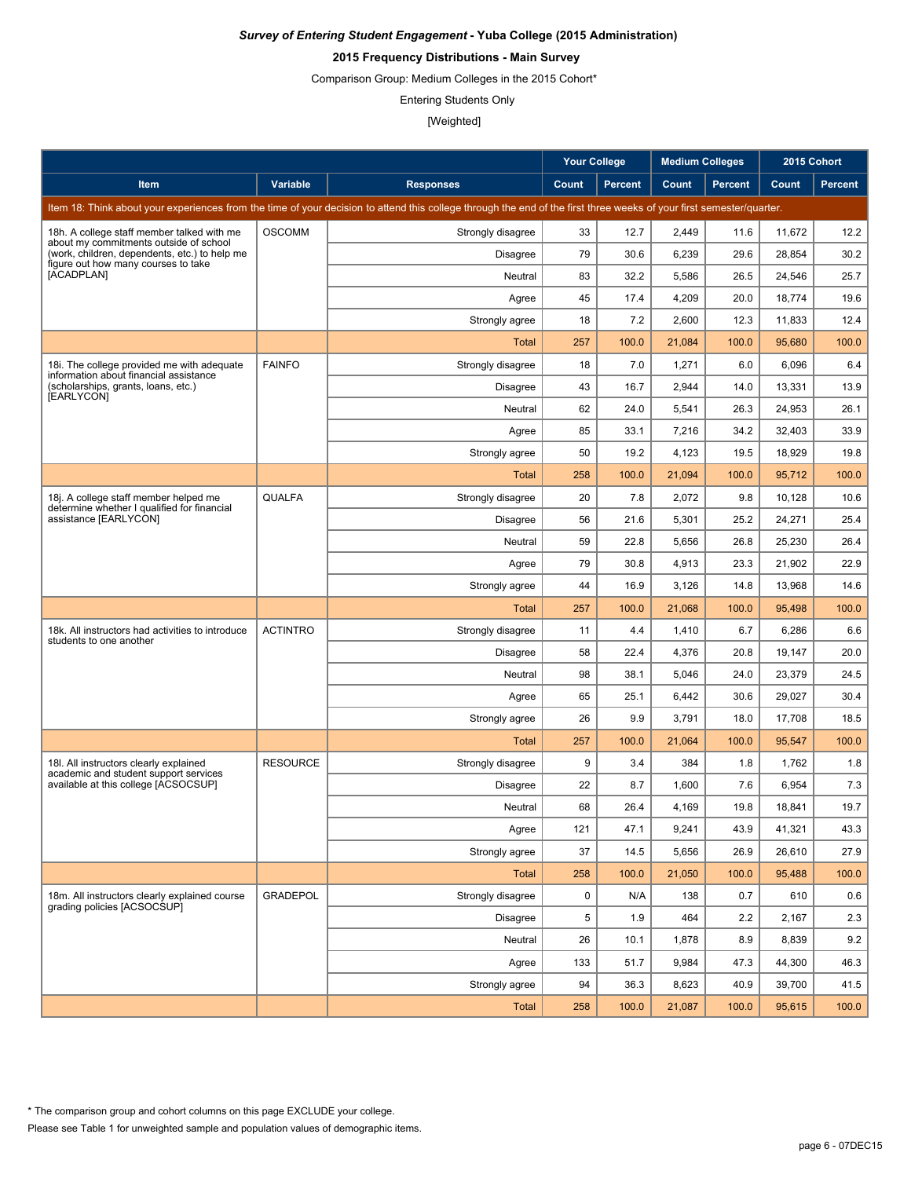# **2015 Frequency Distributions - Main Survey**

Comparison Group: Medium Colleges in the 2015 Cohort\*

Entering Students Only

|                                                                                         |                 |                                                                                                                                                                      | <b>Your College</b> |                | <b>Medium Colleges</b> |                | 2015 Cohort |                |
|-----------------------------------------------------------------------------------------|-----------------|----------------------------------------------------------------------------------------------------------------------------------------------------------------------|---------------------|----------------|------------------------|----------------|-------------|----------------|
| Item                                                                                    | Variable        | <b>Responses</b>                                                                                                                                                     | Count               | <b>Percent</b> | Count                  | <b>Percent</b> | Count       | <b>Percent</b> |
|                                                                                         |                 | Item 18: Think about your experiences from the time of your decision to attend this college through the end of the first three weeks of your first semester/quarter. |                     |                |                        |                |             |                |
| 18h. A college staff member talked with me                                              | <b>OSCOMM</b>   | Strongly disagree                                                                                                                                                    | 33                  | 12.7           | 2,449                  | 11.6           | 11,672      | 12.2           |
| about my commitments outside of school<br>(work, children, dependents, etc.) to help me |                 | Disagree                                                                                                                                                             | 79                  | 30.6           | 6,239                  | 29.6           | 28.854      | 30.2           |
| figure out how many courses to take<br>[ACADPLAN]                                       |                 | Neutral                                                                                                                                                              | 83                  | 32.2           | 5,586                  | 26.5           | 24,546      | 25.7           |
|                                                                                         |                 | Agree                                                                                                                                                                | 45                  | 17.4           | 4,209                  | 20.0           | 18,774      | 19.6           |
|                                                                                         |                 | Strongly agree                                                                                                                                                       | 18                  | 7.2            | 2,600                  | 12.3           | 11,833      | 12.4           |
|                                                                                         |                 | Total                                                                                                                                                                | 257                 | 100.0          | 21,084                 | 100.0          | 95,680      | 100.0          |
| 18. The college provided me with adequate<br>information about financial assistance     | <b>FAINFO</b>   | Strongly disagree                                                                                                                                                    | 18                  | 7.0            | 1,271                  | 6.0            | 6,096       | 6.4            |
| (scholarships, grants, loans, etc.)<br>[EARLYCON]                                       |                 | Disagree                                                                                                                                                             | 43                  | 16.7           | 2,944                  | 14.0           | 13,331      | 13.9           |
|                                                                                         |                 | Neutral                                                                                                                                                              | 62                  | 24.0           | 5,541                  | 26.3           | 24,953      | 26.1           |
|                                                                                         |                 | Agree                                                                                                                                                                | 85                  | 33.1           | 7,216                  | 34.2           | 32,403      | 33.9           |
|                                                                                         |                 | Strongly agree                                                                                                                                                       | 50                  | 19.2           | 4,123                  | 19.5           | 18,929      | 19.8           |
|                                                                                         |                 | <b>Total</b>                                                                                                                                                         | 258                 | 100.0          | 21.094                 | 100.0          | 95,712      | 100.0          |
| 18j. A college staff member helped me<br>determine whether I qualified for financial    | <b>QUALFA</b>   | Strongly disagree                                                                                                                                                    | 20                  | 7.8            | 2,072                  | 9.8            | 10,128      | 10.6           |
| assistance [EARLYCON]                                                                   |                 | <b>Disagree</b>                                                                                                                                                      | 56                  | 21.6           | 5,301                  | 25.2           | 24,271      | 25.4           |
|                                                                                         |                 | Neutral                                                                                                                                                              | 59                  | 22.8           | 5,656                  | 26.8           | 25,230      | 26.4           |
|                                                                                         |                 | Agree                                                                                                                                                                | 79                  | 30.8           | 4,913                  | 23.3           | 21,902      | 22.9           |
|                                                                                         |                 | Strongly agree                                                                                                                                                       | 44                  | 16.9           | 3,126                  | 14.8           | 13,968      | 14.6           |
|                                                                                         |                 | <b>Total</b>                                                                                                                                                         | 257                 | 100.0          | 21,068                 | 100.0          | 95,498      | 100.0          |
| 18k. All instructors had activities to introduce<br>students to one another             | <b>ACTINTRO</b> | Strongly disagree                                                                                                                                                    | 11                  | 4.4            | 1,410                  | 6.7            | 6,286       | 6.6            |
|                                                                                         |                 | Disagree                                                                                                                                                             | 58                  | 22.4           | 4,376                  | 20.8           | 19,147      | 20.0           |
|                                                                                         |                 | Neutral                                                                                                                                                              | 98                  | 38.1           | 5,046                  | 24.0           | 23,379      | 24.5           |
|                                                                                         |                 | Agree                                                                                                                                                                | 65                  | 25.1           | 6,442                  | 30.6           | 29,027      | 30.4           |
|                                                                                         |                 | Strongly agree                                                                                                                                                       | 26                  | 9.9            | 3,791                  | 18.0           | 17,708      | 18.5           |
|                                                                                         |                 | Total                                                                                                                                                                | 257                 | 100.0          | 21,064                 | 100.0          | 95,547      | 100.0          |
| 18I. All instructors clearly explained<br>academic and student support services         | <b>RESOURCE</b> | Strongly disagree                                                                                                                                                    | 9                   | 3.4            | 384                    | 1.8            | 1,762       | 1.8            |
| available at this college [ACSOCSUP]                                                    |                 | Disagree                                                                                                                                                             | 22                  | 8.7            | 1,600                  | 7.6            | 6,954       | 7.3            |
|                                                                                         |                 | Neutral                                                                                                                                                              | 68                  | 26.4           | 4,169                  | 19.8           | 18,841      | 19.7           |
|                                                                                         |                 | Agree                                                                                                                                                                | 121                 | 47.1           | 9,241                  | 43.9           | 41,321      | 43.3           |
|                                                                                         |                 | Strongly agree                                                                                                                                                       | 37                  | 14.5           | 5,656                  | 26.9           | 26,610      | 27.9           |
|                                                                                         |                 | Total                                                                                                                                                                | 258                 | 100.0          | 21,050                 | 100.0          | 95,488      | 100.0          |
| 18m. All instructors clearly explained course<br>grading policies [ACSOCSUP]            | <b>GRADEPOL</b> | Strongly disagree                                                                                                                                                    | 0                   | N/A            | 138                    | 0.7            | 610         | 0.6            |
|                                                                                         |                 | Disagree                                                                                                                                                             | 5                   | 1.9            | 464                    | 2.2            | 2,167       | 2.3            |
|                                                                                         |                 | Neutral                                                                                                                                                              | 26                  | 10.1           | 1,878                  | 8.9            | 8,839       | 9.2            |
|                                                                                         |                 | Agree                                                                                                                                                                | 133                 | 51.7           | 9,984                  | 47.3           | 44,300      | 46.3           |
|                                                                                         |                 | Strongly agree                                                                                                                                                       | 94                  | 36.3           | 8,623                  | 40.9           | 39,700      | 41.5           |
|                                                                                         |                 | Total                                                                                                                                                                | 258                 | 100.0          | 21,087                 | 100.0          | 95,615      | 100.0          |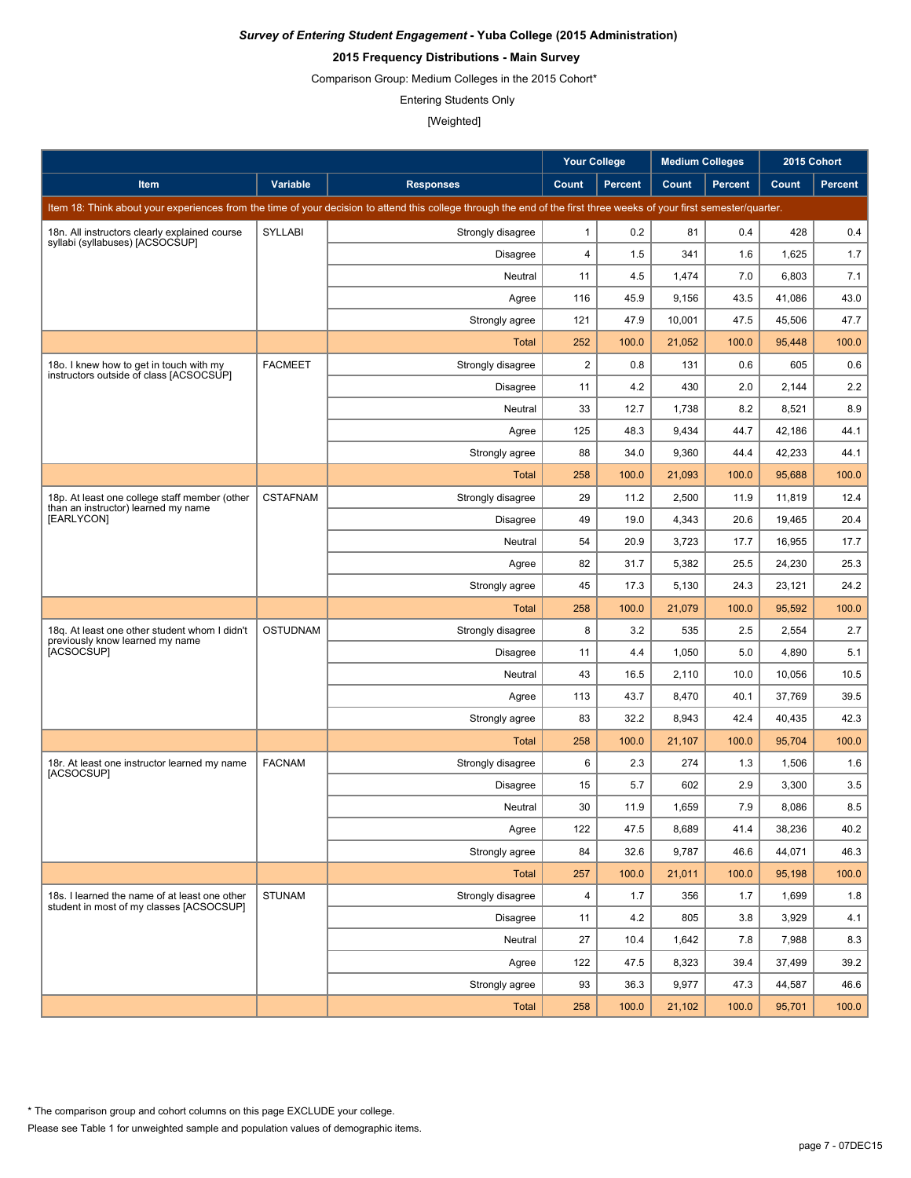# **2015 Frequency Distributions - Main Survey**

Comparison Group: Medium Colleges in the 2015 Cohort\*

Entering Students Only

|                                                                                           |                 |                                                                                                                                                                      | <b>Your College</b>     |                | <b>Medium Colleges</b> |         | 2015 Cohort |                |
|-------------------------------------------------------------------------------------------|-----------------|----------------------------------------------------------------------------------------------------------------------------------------------------------------------|-------------------------|----------------|------------------------|---------|-------------|----------------|
| Item                                                                                      | Variable        | <b>Responses</b>                                                                                                                                                     | Count                   | <b>Percent</b> | Count                  | Percent | Count       | <b>Percent</b> |
|                                                                                           |                 | Item 18: Think about your experiences from the time of your decision to attend this college through the end of the first three weeks of your first semester/quarter. |                         |                |                        |         |             |                |
| 18n. All instructors clearly explained course                                             | <b>SYLLABI</b>  | Strongly disagree                                                                                                                                                    | $\mathbf{1}$            | 0.2            | 81                     | 0.4     | 428         | 0.4            |
| syllabi (syllabuses) [ACSOCSUP]                                                           |                 | Disagree                                                                                                                                                             | 4                       | 1.5            | 341                    | 1.6     | 1,625       | 1.7            |
|                                                                                           |                 | Neutral                                                                                                                                                              | 11                      | 4.5            | 1,474                  | 7.0     | 6,803       | 7.1            |
|                                                                                           |                 | Agree                                                                                                                                                                | 116                     | 45.9           | 9,156                  | 43.5    | 41.086      | 43.0           |
|                                                                                           |                 | Strongly agree                                                                                                                                                       | 121                     | 47.9           | 10,001                 | 47.5    | 45,506      | 47.7           |
|                                                                                           |                 | Total                                                                                                                                                                | 252                     | 100.0          | 21,052                 | 100.0   | 95,448      | 100.0          |
| 180. I knew how to get in touch with my                                                   | <b>FACMEET</b>  | Strongly disagree                                                                                                                                                    | $\overline{\mathbf{c}}$ | 0.8            | 131                    | 0.6     | 605         | 0.6            |
| instructors outside of class [ACSOCSUP]                                                   |                 | Disagree                                                                                                                                                             | 11                      | 4.2            | 430                    | 2.0     | 2,144       | 2.2            |
|                                                                                           |                 | Neutral                                                                                                                                                              | 33                      | 12.7           | 1,738                  | 8.2     | 8,521       | 8.9            |
|                                                                                           |                 | Agree                                                                                                                                                                | 125                     | 48.3           | 9,434                  | 44.7    | 42,186      | 44.1           |
|                                                                                           |                 | Strongly agree                                                                                                                                                       | 88                      | 34.0           | 9,360                  | 44.4    | 42,233      | 44.1           |
|                                                                                           |                 | Total                                                                                                                                                                | 258                     | 100.0          | 21,093                 | 100.0   | 95,688      | 100.0          |
| 18p. At least one college staff member (other<br>than an instructor) learned my name      | <b>CSTAFNAM</b> | Strongly disagree                                                                                                                                                    | 29                      | 11.2           | 2,500                  | 11.9    | 11.819      | 12.4           |
| [EARLYCON]                                                                                |                 | Disagree                                                                                                                                                             | 49                      | 19.0           | 4,343                  | 20.6    | 19.465      | 20.4           |
|                                                                                           |                 | Neutral                                                                                                                                                              | 54                      | 20.9           | 3,723                  | 17.7    | 16,955      | 17.7           |
|                                                                                           |                 | Agree                                                                                                                                                                | 82                      | 31.7           | 5,382                  | 25.5    | 24.230      | 25.3           |
|                                                                                           |                 | Strongly agree                                                                                                                                                       | 45                      | 17.3           | 5,130                  | 24.3    | 23,121      | 24.2           |
|                                                                                           |                 | <b>Total</b>                                                                                                                                                         | 258                     | 100.0          | 21,079                 | 100.0   | 95,592      | 100.0          |
| 18q. At least one other student whom I didn't<br>previously know learned my name          | <b>OSTUDNAM</b> | Strongly disagree                                                                                                                                                    | 8                       | 3.2            | 535                    | 2.5     | 2,554       | 2.7            |
| [ACSOCSUP]                                                                                |                 | <b>Disagree</b>                                                                                                                                                      | 11                      | 4.4            | 1,050                  | 5.0     | 4,890       | 5.1            |
|                                                                                           |                 | Neutral                                                                                                                                                              | 43                      | 16.5           | 2,110                  | 10.0    | 10,056      | 10.5           |
|                                                                                           |                 | Agree                                                                                                                                                                | 113                     | 43.7           | 8,470                  | 40.1    | 37,769      | 39.5           |
|                                                                                           |                 | Strongly agree                                                                                                                                                       | 83                      | 32.2           | 8,943                  | 42.4    | 40,435      | 42.3           |
|                                                                                           |                 | Total                                                                                                                                                                | 258                     | 100.0          | 21,107                 | 100.0   | 95,704      | 100.0          |
| 18r. At least one instructor learned my name<br>[ACSOCSUP]                                | <b>FACNAM</b>   | Strongly disagree                                                                                                                                                    | 6                       | 2.3            | 274                    | 1.3     | 1,506       | 1.6            |
|                                                                                           |                 | <b>Disagree</b>                                                                                                                                                      | 15                      | 5.7            | 602                    | 2.9     | 3,300       | 3.5            |
|                                                                                           |                 | Neutral                                                                                                                                                              | 30                      | 11.9           | 1,659                  | 7.9     | 8,086       | 8.5            |
|                                                                                           |                 | Agree                                                                                                                                                                | 122                     | 47.5           | 8,689                  | 41.4    | 38,236      | 40.2           |
|                                                                                           |                 | Strongly agree                                                                                                                                                       | 84                      | 32.6           | 9,787                  | 46.6    | 44,071      | 46.3           |
|                                                                                           |                 | Total                                                                                                                                                                | 257                     | 100.0          | 21,011                 | 100.0   | 95,198      | 100.0          |
| 18s. I learned the name of at least one other<br>student in most of my classes [ACSOCSUP] | <b>STUNAM</b>   | Strongly disagree                                                                                                                                                    | 4                       | 1.7            | 356                    | 1.7     | 1,699       | 1.8            |
|                                                                                           |                 | Disagree                                                                                                                                                             | 11                      | 4.2            | 805                    | 3.8     | 3,929       | 4.1            |
|                                                                                           |                 | Neutral                                                                                                                                                              | 27                      | 10.4           | 1,642                  | 7.8     | 7,988       | 8.3            |
|                                                                                           |                 | Agree                                                                                                                                                                | 122                     | 47.5           | 8,323                  | 39.4    | 37,499      | 39.2           |
|                                                                                           |                 | Strongly agree                                                                                                                                                       | 93                      | 36.3           | 9,977                  | 47.3    | 44,587      | 46.6           |
|                                                                                           |                 | Total                                                                                                                                                                | 258                     | 100.0          | 21,102                 | 100.0   | 95,701      | 100.0          |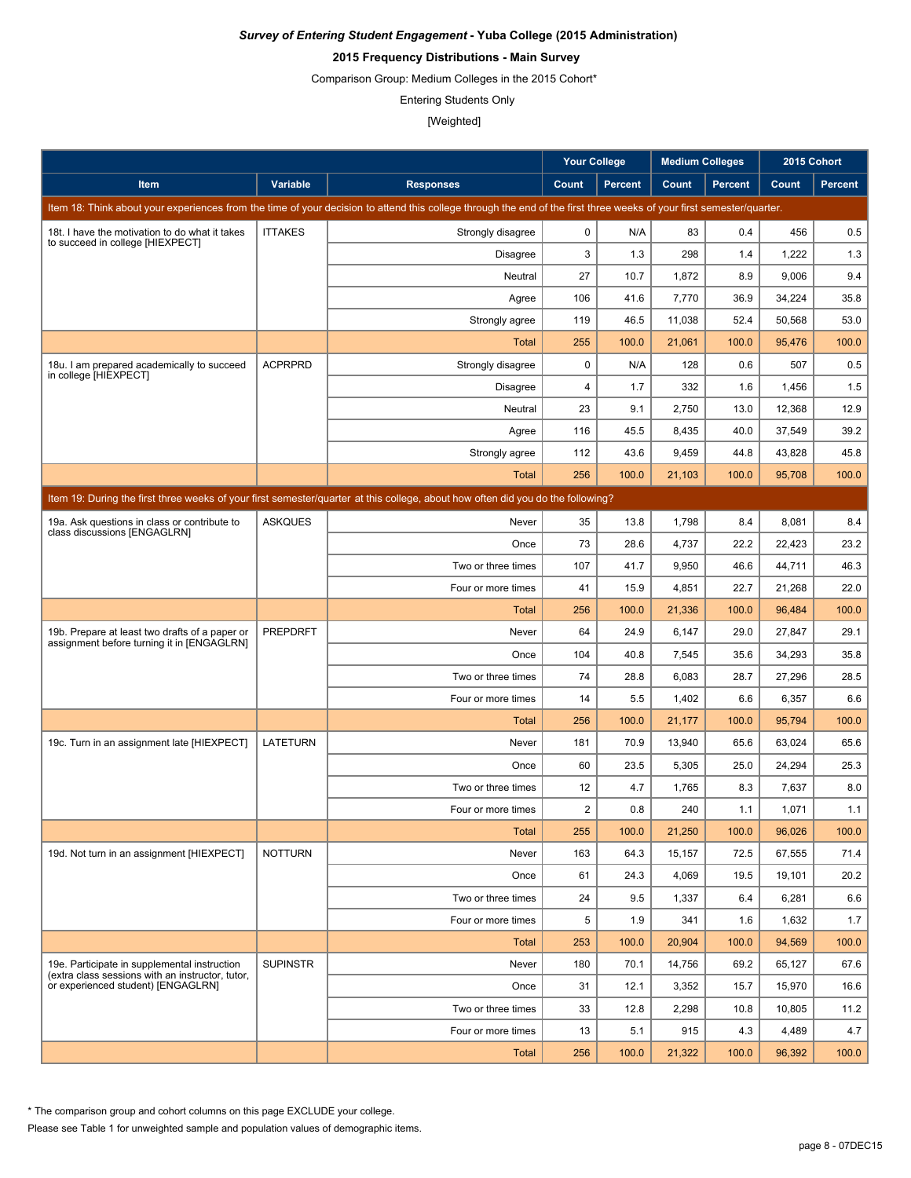# **2015 Frequency Distributions - Main Survey**

Comparison Group: Medium Colleges in the 2015 Cohort\*

Entering Students Only

[Weighted]

|                                                                                                                                 |                 |                                                                                                                                                                      | <b>Your College</b> |                | <b>Medium Colleges</b> |                | 2015 Cohort |                |  |  |
|---------------------------------------------------------------------------------------------------------------------------------|-----------------|----------------------------------------------------------------------------------------------------------------------------------------------------------------------|---------------------|----------------|------------------------|----------------|-------------|----------------|--|--|
| <b>Item</b>                                                                                                                     | Variable        | <b>Responses</b>                                                                                                                                                     | Count               | <b>Percent</b> | Count                  | <b>Percent</b> | Count       | <b>Percent</b> |  |  |
|                                                                                                                                 |                 | Item 18: Think about your experiences from the time of your decision to attend this college through the end of the first three weeks of your first semester/quarter. |                     |                |                        |                |             |                |  |  |
| 18t. I have the motivation to do what it takes                                                                                  | <b>ITTAKES</b>  | Strongly disagree                                                                                                                                                    | $\mathbf 0$         | N/A            | 83                     | 0.4            | 456         | 0.5            |  |  |
| to succeed in college [HIEXPECT]                                                                                                |                 | Disagree                                                                                                                                                             | 3                   | 1.3            | 298                    | 1.4            | 1,222       | 1.3            |  |  |
|                                                                                                                                 |                 | Neutral                                                                                                                                                              | 27                  | 10.7           | 1,872                  | 8.9            | 9,006       | 9.4            |  |  |
|                                                                                                                                 |                 | Agree                                                                                                                                                                | 106                 | 41.6           | 7,770                  | 36.9           | 34,224      | 35.8           |  |  |
|                                                                                                                                 |                 | Strongly agree                                                                                                                                                       | 119                 | 46.5           | 11,038                 | 52.4           | 50,568      | 53.0           |  |  |
|                                                                                                                                 |                 | Total                                                                                                                                                                | 255                 | 100.0          | 21,061                 | 100.0          | 95,476      | 100.0          |  |  |
| 18u. I am prepared academically to succeed<br>in college [HIEXPECT]                                                             | <b>ACPRPRD</b>  | Strongly disagree                                                                                                                                                    | $\mathbf 0$         | N/A            | 128                    | 0.6            | 507         | 0.5            |  |  |
|                                                                                                                                 |                 | <b>Disagree</b>                                                                                                                                                      | 4                   | 1.7            | 332                    | 1.6            | 1,456       | 1.5            |  |  |
|                                                                                                                                 |                 | Neutral                                                                                                                                                              | 23                  | 9.1            | 2,750                  | 13.0           | 12,368      | 12.9           |  |  |
|                                                                                                                                 |                 | Agree                                                                                                                                                                | 116                 | 45.5           | 8,435                  | 40.0           | 37,549      | 39.2           |  |  |
|                                                                                                                                 |                 | Strongly agree                                                                                                                                                       | 112                 | 43.6           | 9,459                  | 44.8           | 43,828      | 45.8           |  |  |
|                                                                                                                                 |                 | <b>Total</b>                                                                                                                                                         | 256                 | 100.0          | 21,103                 | 100.0          | 95,708      | 100.0          |  |  |
| Item 19: During the first three weeks of your first semester/guarter at this college, about how often did you do the following? |                 |                                                                                                                                                                      |                     |                |                        |                |             |                |  |  |
| 19a. Ask questions in class or contribute to<br>class discussions [ENGAGLRN]                                                    | <b>ASKQUES</b>  | Never                                                                                                                                                                | 35                  | 13.8           | 1,798                  | 8.4            | 8,081       | 8.4            |  |  |
|                                                                                                                                 |                 | Once                                                                                                                                                                 | 73                  | 28.6           | 4,737                  | 22.2           | 22,423      | 23.2           |  |  |
|                                                                                                                                 |                 | Two or three times                                                                                                                                                   | 107                 | 41.7           | 9,950                  | 46.6           | 44,711      | 46.3           |  |  |
|                                                                                                                                 |                 | Four or more times                                                                                                                                                   | 41                  | 15.9           | 4,851                  | 22.7           | 21,268      | 22.0           |  |  |
|                                                                                                                                 |                 | <b>Total</b>                                                                                                                                                         | 256                 | 100.0          | 21,336                 | 100.0          | 96,484      | 100.0          |  |  |
| 19b. Prepare at least two drafts of a paper or<br>assignment before turning it in [ENGAGLRN]                                    | <b>PREPDRFT</b> | Never                                                                                                                                                                | 64                  | 24.9           | 6,147                  | 29.0           | 27,847      | 29.1           |  |  |
|                                                                                                                                 |                 | Once                                                                                                                                                                 | 104                 | 40.8           | 7,545                  | 35.6           | 34,293      | 35.8           |  |  |
|                                                                                                                                 |                 | Two or three times                                                                                                                                                   | 74                  | 28.8           | 6,083                  | 28.7           | 27,296      | 28.5           |  |  |
|                                                                                                                                 |                 | Four or more times                                                                                                                                                   | 14                  | 5.5            | 1,402                  | 6.6            | 6,357       | 6.6            |  |  |
|                                                                                                                                 |                 | Total                                                                                                                                                                | 256                 | 100.0          | 21,177                 | 100.0          | 95,794      | 100.0          |  |  |
| 19c. Turn in an assignment late [HIEXPECT]                                                                                      | <b>LATETURN</b> | Never                                                                                                                                                                | 181                 | 70.9           | 13,940                 | 65.6           | 63.024      | 65.6           |  |  |
|                                                                                                                                 |                 | Once                                                                                                                                                                 | 60                  | 23.5           | 5,305                  | 25.0           | 24,294      | 25.3           |  |  |
|                                                                                                                                 |                 | Two or three times                                                                                                                                                   | 12                  | 4.7            | 1,765                  | 8.3            | 7,637       | 8.0            |  |  |
|                                                                                                                                 |                 | Four or more times                                                                                                                                                   | $\overline{2}$      | 0.8            | 240                    | 1.1            | 1,071       | 1.1            |  |  |
|                                                                                                                                 |                 | <b>Total</b>                                                                                                                                                         | 255                 | 100.0          | 21,250                 | 100.0          | 96,026      | 100.0          |  |  |
| 19d. Not turn in an assignment [HIEXPECT]                                                                                       | <b>NOTTURN</b>  | Never                                                                                                                                                                | 163                 | 64.3           | 15,157                 | 72.5           | 67,555      | 71.4           |  |  |
|                                                                                                                                 |                 | Once                                                                                                                                                                 | 61                  | 24.3           | 4,069                  | 19.5           | 19,101      | 20.2           |  |  |
|                                                                                                                                 |                 | Two or three times                                                                                                                                                   | 24                  | 9.5            | 1,337                  | 6.4            | 6,281       | 6.6            |  |  |
|                                                                                                                                 |                 | Four or more times                                                                                                                                                   | 5                   | 1.9            | 341                    | 1.6            | 1,632       | 1.7            |  |  |
|                                                                                                                                 |                 | Total                                                                                                                                                                | 253                 | 100.0          | 20,904                 | 100.0          | 94,569      | 100.0          |  |  |
| 19e. Participate in supplemental instruction<br>(extra class sessions with an instructor, tutor,                                | <b>SUPINSTR</b> | Never                                                                                                                                                                | 180                 | 70.1           | 14,756                 | 69.2           | 65,127      | 67.6           |  |  |
| or experienced student) [ENGAGLRN]                                                                                              |                 | Once                                                                                                                                                                 | 31                  | 12.1           | 3,352                  | 15.7           | 15,970      | 16.6           |  |  |
|                                                                                                                                 |                 | Two or three times                                                                                                                                                   | 33                  | 12.8           | 2,298                  | 10.8           | 10,805      | 11.2           |  |  |
|                                                                                                                                 |                 | Four or more times                                                                                                                                                   | 13                  | 5.1            | 915                    | 4.3            | 4,489       | 4.7            |  |  |
|                                                                                                                                 |                 | <b>Total</b>                                                                                                                                                         | 256                 | 100.0          | 21,322                 | 100.0          | 96,392      | 100.0          |  |  |

\* The comparison group and cohort columns on this page EXCLUDE your college.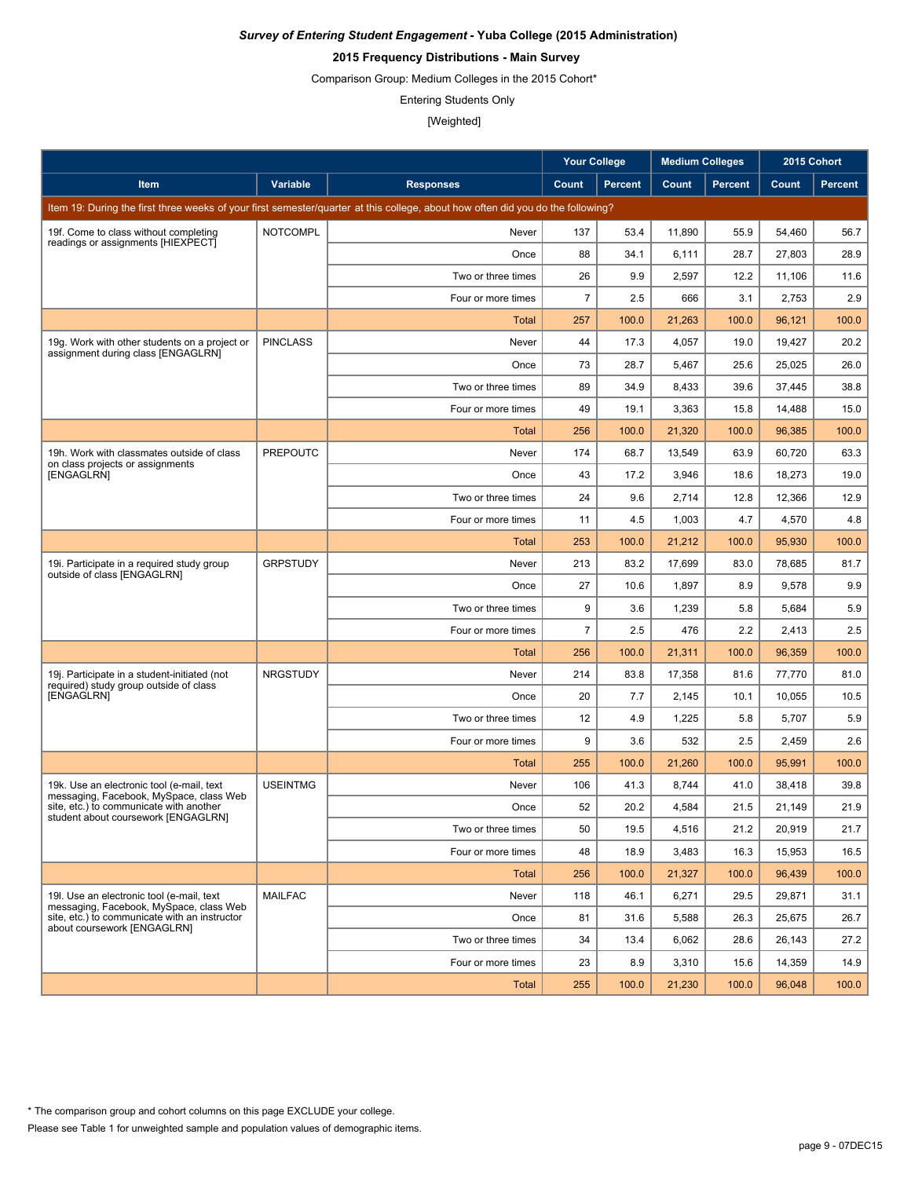# **2015 Frequency Distributions - Main Survey**

Comparison Group: Medium Colleges in the 2015 Cohort\*

Entering Students Only

|                                                                                        |                 |                                                                                                                                 | <b>Your College</b> |                | <b>Medium Colleges</b> |                | 2015 Cohort |                |
|----------------------------------------------------------------------------------------|-----------------|---------------------------------------------------------------------------------------------------------------------------------|---------------------|----------------|------------------------|----------------|-------------|----------------|
| Item                                                                                   | Variable        | <b>Responses</b>                                                                                                                | Count               | <b>Percent</b> | Count                  | <b>Percent</b> | Count       | <b>Percent</b> |
|                                                                                        |                 | Item 19: During the first three weeks of your first semester/quarter at this college, about how often did you do the following? |                     |                |                        |                |             |                |
| 19f. Come to class without completing                                                  | <b>NOTCOMPL</b> | Never                                                                                                                           | 137                 | 53.4           | 11,890                 | 55.9           | 54,460      | 56.7           |
| readings or assignments [HIEXPECT]                                                     |                 | Once                                                                                                                            | 88                  | 34.1           | 6,111                  | 28.7           | 27,803      | 28.9           |
|                                                                                        |                 | Two or three times                                                                                                              | 26                  | 9.9            | 2,597                  | 12.2           | 11,106      | 11.6           |
|                                                                                        |                 | Four or more times                                                                                                              | $\overline{7}$      | 2.5            | 666                    | 3.1            | 2,753       | 2.9            |
|                                                                                        |                 | <b>Total</b>                                                                                                                    | 257                 | 100.0          | 21,263                 | 100.0          | 96,121      | 100.0          |
| 19g. Work with other students on a project or<br>assignment during class [ENGAGLRN]    | <b>PINCLASS</b> | Never                                                                                                                           | 44                  | 17.3           | 4,057                  | 19.0           | 19,427      | 20.2           |
|                                                                                        |                 | Once                                                                                                                            | 73                  | 28.7           | 5,467                  | 25.6           | 25,025      | 26.0           |
|                                                                                        |                 | Two or three times                                                                                                              | 89                  | 34.9           | 8,433                  | 39.6           | 37,445      | 38.8           |
|                                                                                        |                 | Four or more times                                                                                                              | 49                  | 19.1           | 3,363                  | 15.8           | 14,488      | 15.0           |
|                                                                                        |                 | <b>Total</b>                                                                                                                    | 256                 | 100.0          | 21,320                 | 100.0          | 96,385      | 100.0          |
| 19h. Work with classmates outside of class<br>on class projects or assignments         | <b>PREPOUTC</b> | Never                                                                                                                           | 174                 | 68.7           | 13.549                 | 63.9           | 60,720      | 63.3           |
| [ENGAGLRN]                                                                             |                 | Once                                                                                                                            | 43                  | 17.2           | 3,946                  | 18.6           | 18,273      | 19.0           |
|                                                                                        |                 | Two or three times                                                                                                              | 24                  | 9.6            | 2,714                  | 12.8           | 12,366      | 12.9           |
|                                                                                        |                 | Four or more times                                                                                                              | 11                  | 4.5            | 1,003                  | 4.7            | 4,570       | 4.8            |
|                                                                                        |                 | Total                                                                                                                           | 253                 | 100.0          | 21,212                 | 100.0          | 95,930      | 100.0          |
| 19. Participate in a required study group<br>outside of class [ENGAGLRN]               | <b>GRPSTUDY</b> | Never                                                                                                                           | 213                 | 83.2           | 17,699                 | 83.0           | 78,685      | 81.7           |
|                                                                                        |                 | Once                                                                                                                            | 27                  | 10.6           | 1,897                  | 8.9            | 9,578       | 9.9            |
|                                                                                        |                 | Two or three times                                                                                                              | 9                   | 3.6            | 1,239                  | 5.8            | 5,684       | 5.9            |
|                                                                                        |                 | Four or more times                                                                                                              | $\overline{7}$      | 2.5            | 476                    | 2.2            | 2,413       | 2.5            |
|                                                                                        |                 | Total                                                                                                                           | 256                 | 100.0          | 21,311                 | 100.0          | 96,359      | 100.0          |
| 19j. Participate in a student-initiated (not<br>required) study group outside of class | <b>NRGSTUDY</b> | Never                                                                                                                           | 214                 | 83.8           | 17,358                 | 81.6           | 77,770      | 81.0           |
| [ENGAGLRN]                                                                             |                 | Once                                                                                                                            | 20                  | 7.7            | 2,145                  | 10.1           | 10,055      | 10.5           |
|                                                                                        |                 | Two or three times                                                                                                              | 12                  | 4.9            | 1,225                  | 5.8            | 5,707       | 5.9            |
|                                                                                        |                 | Four or more times                                                                                                              | 9                   | 3.6            | 532                    | 2.5            | 2,459       | 2.6            |
|                                                                                        |                 | <b>Total</b>                                                                                                                    | 255                 | 100.0          | 21,260                 | 100.0          | 95,991      | 100.0          |
| 19k. Use an electronic tool (e-mail, text<br>messaging, Facebook, MySpace, class Web   | <b>USEINTMG</b> | Never                                                                                                                           | 106                 | 41.3           | 8,744                  | 41.0           | 38,418      | 39.8           |
| site, etc.) to communicate with another<br>student about coursework [ENGAGLRN]         |                 | Once                                                                                                                            | 52                  | 20.2           | 4,584                  | 21.5           | 21,149      | 21.9           |
|                                                                                        |                 | Two or three times                                                                                                              | 50                  | 19.5           | 4,516                  | 21.2           | 20,919      | 21.7           |
|                                                                                        |                 | Four or more times                                                                                                              | 48                  | 18.9           | 3,483                  | 16.3           | 15,953      | 16.5           |
|                                                                                        |                 | <b>Total</b>                                                                                                                    | 256                 | 100.0          | 21,327                 | 100.0          | 96,439      | 100.0          |
| 19I. Use an electronic tool (e-mail, text<br>messaging, Facebook, MySpace, class Web   | <b>MAILFAC</b>  | Never                                                                                                                           | 118                 | 46.1           | 6,271                  | 29.5           | 29,871      | 31.1           |
| site, etc.) to communicate with an instructor<br>about coursework [ENGAGLRN]           |                 | Once                                                                                                                            | 81                  | 31.6           | 5,588                  | 26.3           | 25,675      | 26.7           |
|                                                                                        |                 | Two or three times                                                                                                              | 34                  | 13.4           | 6,062                  | 28.6           | 26,143      | 27.2           |
|                                                                                        |                 | Four or more times                                                                                                              | 23                  | 8.9            | 3,310                  | 15.6           | 14,359      | 14.9           |
|                                                                                        |                 | <b>Total</b>                                                                                                                    | 255                 | 100.0          | 21,230                 | 100.0          | 96,048      | 100.0          |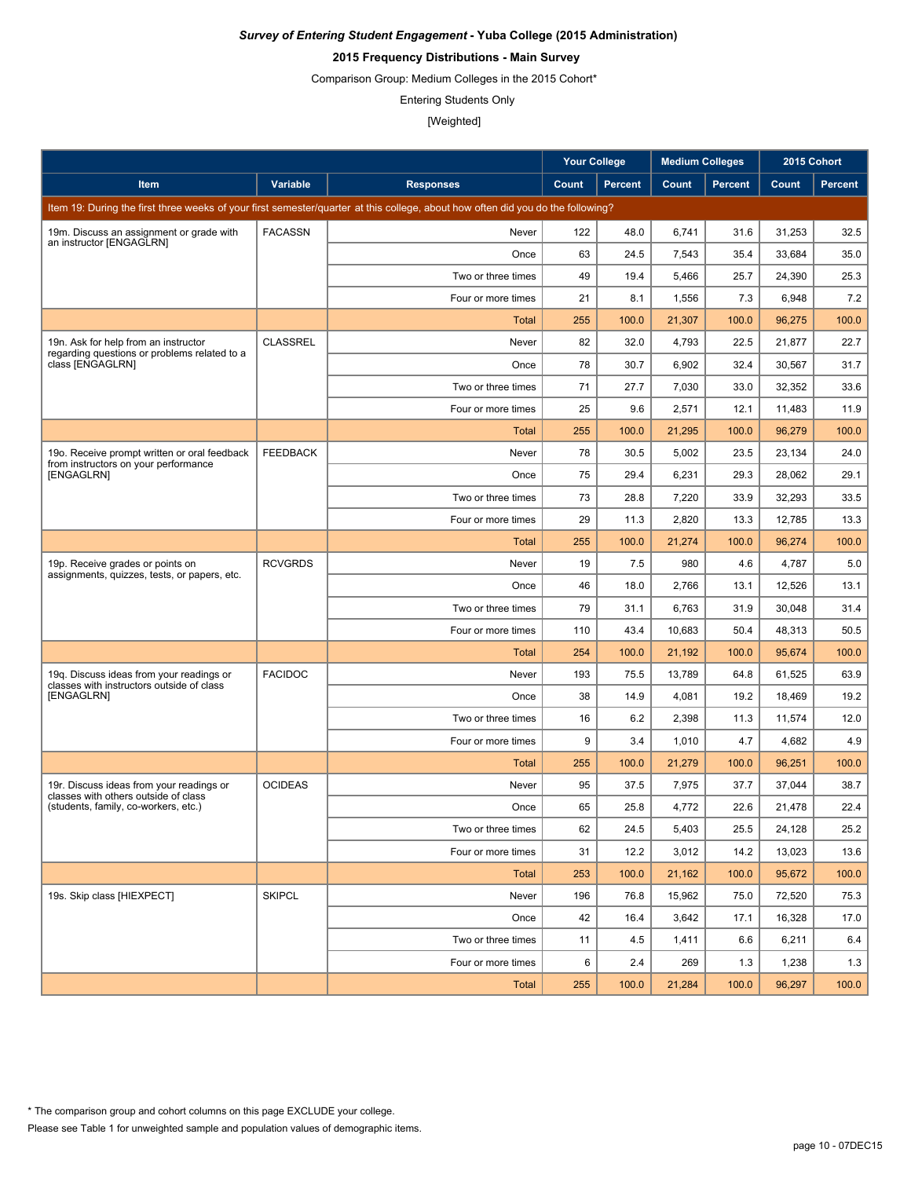# **2015 Frequency Distributions - Main Survey**

Comparison Group: Medium Colleges in the 2015 Cohort\*

Entering Students Only

|                                                                                       |                 |                                                                                                                                 | <b>Your College</b> |                | <b>Medium Colleges</b> |         | 2015 Cohort |         |
|---------------------------------------------------------------------------------------|-----------------|---------------------------------------------------------------------------------------------------------------------------------|---------------------|----------------|------------------------|---------|-------------|---------|
| <b>Item</b>                                                                           | <b>Variable</b> | <b>Responses</b>                                                                                                                | Count               | <b>Percent</b> | Count                  | Percent | Count       | Percent |
|                                                                                       |                 | Item 19: During the first three weeks of your first semester/quarter at this college, about how often did you do the following? |                     |                |                        |         |             |         |
| 19m. Discuss an assignment or grade with                                              | <b>FACASSN</b>  | Never                                                                                                                           | 122                 | 48.0           | 6,741                  | 31.6    | 31,253      | 32.5    |
| an instructor [ENGAGLRN]                                                              |                 | Once                                                                                                                            | 63                  | 24.5           | 7,543                  | 35.4    | 33,684      | 35.0    |
|                                                                                       |                 | Two or three times                                                                                                              | 49                  | 19.4           | 5,466                  | 25.7    | 24,390      | 25.3    |
|                                                                                       |                 | Four or more times                                                                                                              | 21                  | 8.1            | 1,556                  | 7.3     | 6,948       | 7.2     |
|                                                                                       |                 | Total                                                                                                                           | 255                 | 100.0          | 21,307                 | 100.0   | 96,275      | 100.0   |
| 19n. Ask for help from an instructor                                                  | <b>CLASSREL</b> | Never                                                                                                                           | 82                  | 32.0           | 4,793                  | 22.5    | 21,877      | 22.7    |
| regarding questions or problems related to a<br>class [ENGAGLRN]                      |                 | Once                                                                                                                            | 78                  | 30.7           | 6,902                  | 32.4    | 30,567      | 31.7    |
|                                                                                       |                 | Two or three times                                                                                                              | 71                  | 27.7           | 7,030                  | 33.0    | 32,352      | 33.6    |
|                                                                                       |                 | Four or more times                                                                                                              | 25                  | 9.6            | 2,571                  | 12.1    | 11,483      | 11.9    |
|                                                                                       |                 | <b>Total</b>                                                                                                                    | 255                 | 100.0          | 21,295                 | 100.0   | 96,279      | 100.0   |
| 190. Receive prompt written or oral feedback                                          | <b>FEEDBACK</b> | Never                                                                                                                           | 78                  | 30.5           | 5,002                  | 23.5    | 23,134      | 24.0    |
| from instructors on your performance<br><b>IENGAGLRN1</b>                             |                 | Once                                                                                                                            | 75                  | 29.4           | 6,231                  | 29.3    | 28,062      | 29.1    |
|                                                                                       |                 | Two or three times                                                                                                              | 73                  | 28.8           | 7,220                  | 33.9    | 32,293      | 33.5    |
|                                                                                       |                 | Four or more times                                                                                                              | 29                  | 11.3           | 2,820                  | 13.3    | 12,785      | 13.3    |
|                                                                                       |                 | <b>Total</b>                                                                                                                    | 255                 | 100.0          | 21,274                 | 100.0   | 96,274      | 100.0   |
| 19p. Receive grades or points on<br>assignments, quizzes, tests, or papers, etc.      | <b>RCVGRDS</b>  | Never                                                                                                                           | 19                  | 7.5            | 980                    | 4.6     | 4,787       | 5.0     |
|                                                                                       |                 | Once                                                                                                                            | 46                  | 18.0           | 2,766                  | 13.1    | 12,526      | 13.1    |
|                                                                                       |                 | Two or three times                                                                                                              | 79                  | 31.1           | 6,763                  | 31.9    | 30,048      | 31.4    |
|                                                                                       |                 | Four or more times                                                                                                              | 110                 | 43.4           | 10,683                 | 50.4    | 48,313      | 50.5    |
|                                                                                       |                 | <b>Total</b>                                                                                                                    | 254                 | 100.0          | 21,192                 | 100.0   | 95,674      | 100.0   |
| 19q. Discuss ideas from your readings or<br>classes with instructors outside of class | <b>FACIDOC</b>  | Never                                                                                                                           | 193                 | 75.5           | 13,789                 | 64.8    | 61,525      | 63.9    |
| [ENGAGLRN]                                                                            |                 | Once                                                                                                                            | 38                  | 14.9           | 4,081                  | 19.2    | 18,469      | 19.2    |
|                                                                                       |                 | Two or three times                                                                                                              | 16                  | 6.2            | 2,398                  | 11.3    | 11,574      | 12.0    |
|                                                                                       |                 | Four or more times                                                                                                              | 9                   | 3.4            | 1,010                  | 4.7     | 4,682       | 4.9     |
|                                                                                       |                 | Total                                                                                                                           | 255                 | 100.0          | 21,279                 | 100.0   | 96,251      | 100.0   |
| 19r. Discuss ideas from your readings or<br>classes with others outside of class      | <b>OCIDEAS</b>  | Never                                                                                                                           | 95                  | 37.5           | 7,975                  | 37.7    | 37,044      | 38.7    |
| (students, family, co-workers, etc.)                                                  |                 | Once                                                                                                                            | 65                  | 25.8           | 4,772                  | 22.6    | 21,478      | 22.4    |
|                                                                                       |                 | Two or three times                                                                                                              | 62                  | 24.5           | 5,403                  | 25.5    | 24,128      | 25.2    |
|                                                                                       |                 | Four or more times                                                                                                              | 31                  | 12.2           | 3,012                  | 14.2    | 13,023      | 13.6    |
|                                                                                       |                 | <b>Total</b>                                                                                                                    | 253                 | 100.0          | 21,162                 | 100.0   | 95,672      | 100.0   |
| 19s. Skip class [HIEXPECT]                                                            | <b>SKIPCL</b>   | Never                                                                                                                           | 196                 | 76.8           | 15,962                 | 75.0    | 72,520      | 75.3    |
|                                                                                       |                 | Once                                                                                                                            | 42                  | 16.4           | 3,642                  | 17.1    | 16,328      | 17.0    |
|                                                                                       |                 | Two or three times                                                                                                              | 11                  | 4.5            | 1,411                  | 6.6     | 6,211       | 6.4     |
|                                                                                       |                 | Four or more times                                                                                                              | 6                   | 2.4            | 269                    | 1.3     | 1,238       | 1.3     |
|                                                                                       |                 | Total                                                                                                                           | 255                 | 100.0          | 21,284                 | 100.0   | 96,297      | 100.0   |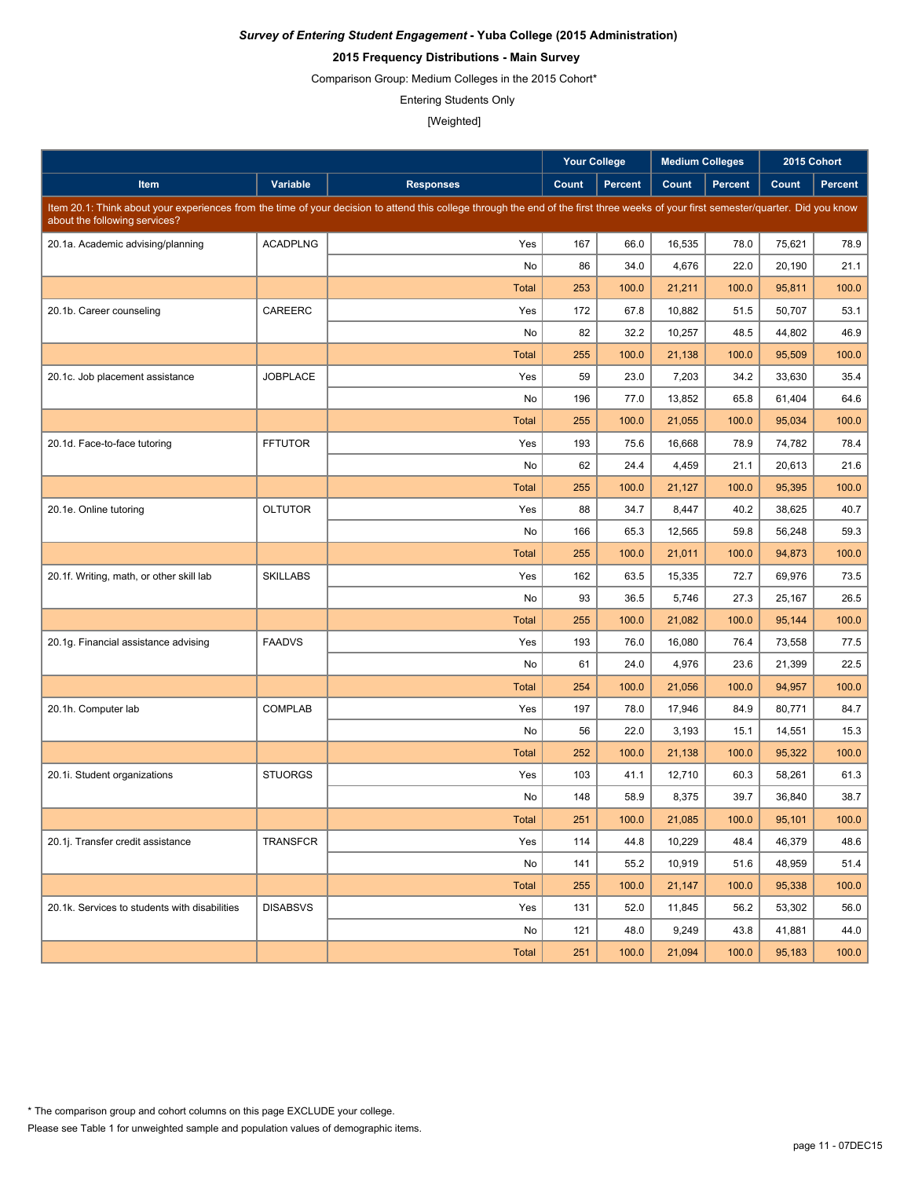# **2015 Frequency Distributions - Main Survey**

Comparison Group: Medium Colleges in the 2015 Cohort\*

Entering Students Only

|                                               |                 |                                                                                                                                                                                     | <b>Your College</b> |                | <b>Medium Colleges</b> |                | 2015 Cohort |         |
|-----------------------------------------------|-----------------|-------------------------------------------------------------------------------------------------------------------------------------------------------------------------------------|---------------------|----------------|------------------------|----------------|-------------|---------|
| Item                                          | Variable        | <b>Responses</b>                                                                                                                                                                    | Count               | <b>Percent</b> | Count                  | <b>Percent</b> | Count       | Percent |
| about the following services?                 |                 | Item 20.1: Think about your experiences from the time of your decision to attend this college through the end of the first three weeks of your first semester/quarter. Did you know |                     |                |                        |                |             |         |
| 20.1a. Academic advising/planning             | <b>ACADPLNG</b> | Yes                                                                                                                                                                                 | 167                 | 66.0           | 16,535                 | 78.0           | 75,621      | 78.9    |
|                                               |                 | No                                                                                                                                                                                  | 86                  | 34.0           | 4,676                  | 22.0           | 20,190      | 21.1    |
|                                               |                 | <b>Total</b>                                                                                                                                                                        | 253                 | 100.0          | 21,211                 | 100.0          | 95,811      | 100.0   |
| 20.1b. Career counseling                      | CAREERC         | Yes                                                                                                                                                                                 | 172                 | 67.8           | 10,882                 | 51.5           | 50,707      | 53.1    |
|                                               |                 | No                                                                                                                                                                                  | 82                  | 32.2           | 10,257                 | 48.5           | 44,802      | 46.9    |
|                                               |                 | Total                                                                                                                                                                               | 255                 | 100.0          | 21,138                 | 100.0          | 95,509      | 100.0   |
| 20.1c. Job placement assistance               | <b>JOBPLACE</b> | Yes                                                                                                                                                                                 | 59                  | 23.0           | 7,203                  | 34.2           | 33,630      | 35.4    |
|                                               |                 | No                                                                                                                                                                                  | 196                 | 77.0           | 13,852                 | 65.8           | 61,404      | 64.6    |
|                                               |                 | <b>Total</b>                                                                                                                                                                        | 255                 | 100.0          | 21,055                 | 100.0          | 95,034      | 100.0   |
| 20.1d. Face-to-face tutoring                  | <b>FFTUTOR</b>  | Yes                                                                                                                                                                                 | 193                 | 75.6           | 16,668                 | 78.9           | 74,782      | 78.4    |
|                                               |                 | No                                                                                                                                                                                  | 62                  | 24.4           | 4,459                  | 21.1           | 20,613      | 21.6    |
|                                               |                 | <b>Total</b>                                                                                                                                                                        | 255                 | 100.0          | 21.127                 | 100.0          | 95,395      | 100.0   |
| 20.1e. Online tutoring                        | <b>OLTUTOR</b>  | Yes                                                                                                                                                                                 | 88                  | 34.7           | 8,447                  | 40.2           | 38,625      | 40.7    |
|                                               |                 | No                                                                                                                                                                                  | 166                 | 65.3           | 12,565                 | 59.8           | 56,248      | 59.3    |
|                                               |                 | <b>Total</b>                                                                                                                                                                        | 255                 | 100.0          | 21,011                 | 100.0          | 94,873      | 100.0   |
| 20.1f. Writing, math, or other skill lab      | <b>SKILLABS</b> | Yes                                                                                                                                                                                 | 162                 | 63.5           | 15,335                 | 72.7           | 69,976      | 73.5    |
|                                               |                 | No                                                                                                                                                                                  | 93                  | 36.5           | 5,746                  | 27.3           | 25,167      | 26.5    |
|                                               |                 | <b>Total</b>                                                                                                                                                                        | 255                 | 100.0          | 21,082                 | 100.0          | 95,144      | 100.0   |
| 20.1g. Financial assistance advising          | <b>FAADVS</b>   | Yes                                                                                                                                                                                 | 193                 | 76.0           | 16,080                 | 76.4           | 73,558      | 77.5    |
|                                               |                 | No                                                                                                                                                                                  | 61                  | 24.0           | 4,976                  | 23.6           | 21,399      | 22.5    |
|                                               |                 | <b>Total</b>                                                                                                                                                                        | 254                 | 100.0          | 21,056                 | 100.0          | 94,957      | 100.0   |
| 20.1h. Computer lab                           | <b>COMPLAB</b>  | Yes                                                                                                                                                                                 | 197                 | 78.0           | 17,946                 | 84.9           | 80,771      | 84.7    |
|                                               |                 | No                                                                                                                                                                                  | 56                  | 22.0           | 3,193                  | 15.1           | 14,551      | 15.3    |
|                                               |                 | <b>Total</b>                                                                                                                                                                        | 252                 | 100.0          | 21,138                 | 100.0          | 95,322      | 100.0   |
| 20.1. Student organizations                   | <b>STUORGS</b>  | Yes                                                                                                                                                                                 | 103                 | 41.1           | 12,710                 | 60.3           | 58,261      | 61.3    |
|                                               |                 | No                                                                                                                                                                                  | 148                 | 58.9           | 8,375                  | 39.7           | 36.840      | 38.7    |
|                                               |                 | <b>Total</b>                                                                                                                                                                        | 251                 | 100.0          | 21,085                 | 100.0          | 95,101      | 100.0   |
| 20.1j. Transfer credit assistance             | TRANSFCR        | Yes                                                                                                                                                                                 | 114                 | 44.8           | 10,229                 | 48.4           | 46,379      | 48.6    |
|                                               |                 | No                                                                                                                                                                                  | 141                 | 55.2           | 10,919                 | 51.6           | 48,959      | 51.4    |
|                                               |                 | <b>Total</b>                                                                                                                                                                        | 255                 | 100.0          | 21,147                 | 100.0          | 95,338      | 100.0   |
| 20.1k. Services to students with disabilities | <b>DISABSVS</b> | Yes                                                                                                                                                                                 | 131                 | 52.0           | 11,845                 | 56.2           | 53,302      | 56.0    |
|                                               |                 | No                                                                                                                                                                                  | 121                 | 48.0           | 9,249                  | 43.8           | 41,881      | 44.0    |
|                                               |                 | <b>Total</b>                                                                                                                                                                        | 251                 | 100.0          | 21,094                 | 100.0          | 95,183      | 100.0   |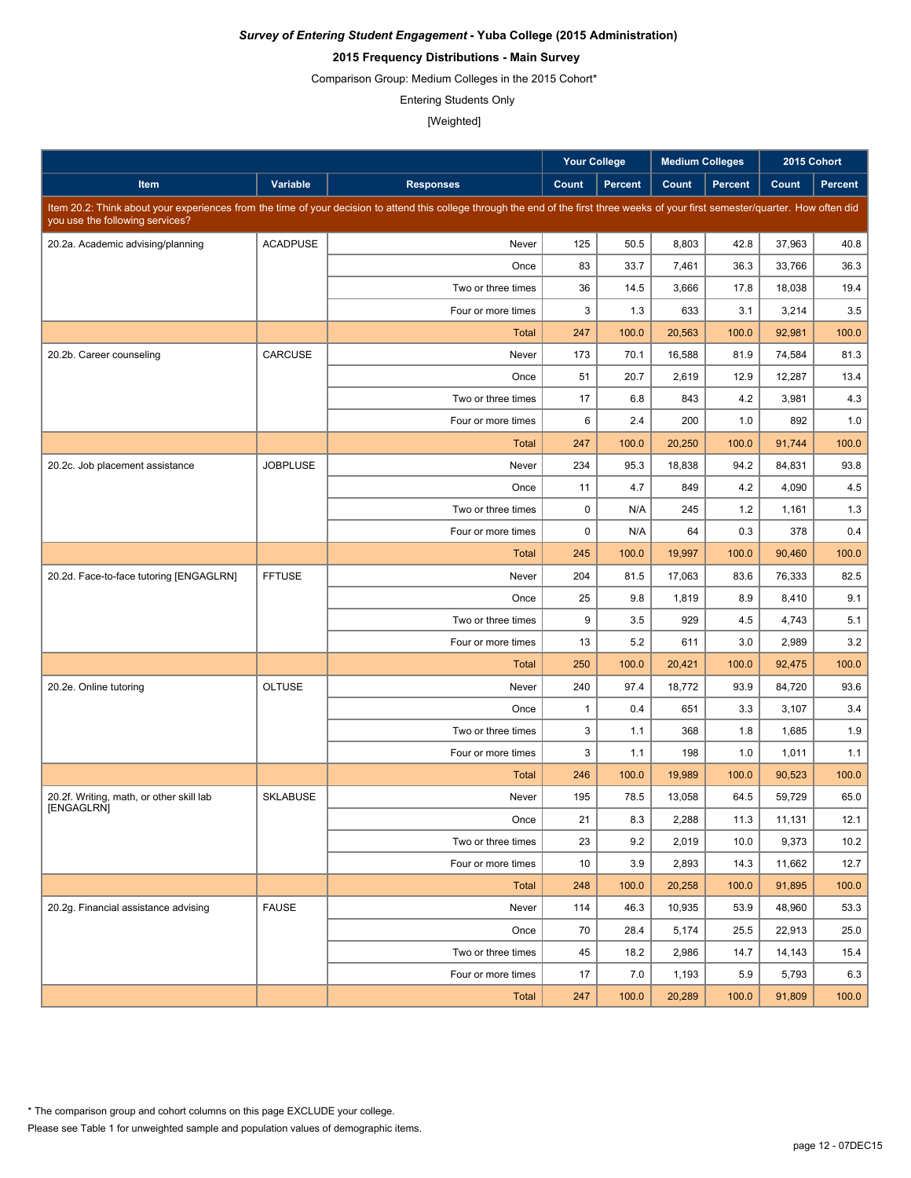# **2015 Frequency Distributions - Main Survey**

Comparison Group: Medium Colleges in the 2015 Cohort\*

Entering Students Only

|                                                        |                 |                                                                                                                                                                                      | <b>Your College</b> |                | <b>Medium Colleges</b> |                | 2015 Cohort |                |
|--------------------------------------------------------|-----------------|--------------------------------------------------------------------------------------------------------------------------------------------------------------------------------------|---------------------|----------------|------------------------|----------------|-------------|----------------|
| Item                                                   | Variable        | <b>Responses</b>                                                                                                                                                                     | Count               | <b>Percent</b> | Count                  | <b>Percent</b> | Count       | <b>Percent</b> |
| you use the following services?                        |                 | Item 20.2: Think about your experiences from the time of your decision to attend this college through the end of the first three weeks of your first semester/quarter. How often did |                     |                |                        |                |             |                |
| 20.2a. Academic advising/planning                      | <b>ACADPUSE</b> | Never                                                                                                                                                                                | 125                 | 50.5           | 8,803                  | 42.8           | 37,963      | 40.8           |
|                                                        |                 | Once                                                                                                                                                                                 | 83                  | 33.7           | 7,461                  | 36.3           | 33,766      | 36.3           |
|                                                        |                 | Two or three times                                                                                                                                                                   | 36                  | 14.5           | 3,666                  | 17.8           | 18,038      | 19.4           |
|                                                        |                 | Four or more times                                                                                                                                                                   | 3                   | 1.3            | 633                    | 3.1            | 3,214       | 3.5            |
|                                                        |                 | <b>Total</b>                                                                                                                                                                         | 247                 | 100.0          | 20,563                 | 100.0          | 92,981      | 100.0          |
| 20.2b. Career counseling                               | CARCUSE         | Never                                                                                                                                                                                | 173                 | 70.1           | 16,588                 | 81.9           | 74,584      | 81.3           |
|                                                        |                 | Once                                                                                                                                                                                 | 51                  | 20.7           | 2,619                  | 12.9           | 12,287      | 13.4           |
|                                                        |                 | Two or three times                                                                                                                                                                   | 17                  | 6.8            | 843                    | 4.2            | 3,981       | 4.3            |
|                                                        |                 | Four or more times                                                                                                                                                                   | 6                   | 2.4            | 200                    | 1.0            | 892         | 1.0            |
|                                                        |                 | <b>Total</b>                                                                                                                                                                         | 247                 | 100.0          | 20,250                 | 100.0          | 91,744      | 100.0          |
| 20.2c. Job placement assistance                        | <b>JOBPLUSE</b> | Never                                                                                                                                                                                | 234                 | 95.3           | 18,838                 | 94.2           | 84,831      | 93.8           |
|                                                        |                 | Once                                                                                                                                                                                 | 11                  | 4.7            | 849                    | 4.2            | 4,090       | 4.5            |
|                                                        |                 | Two or three times                                                                                                                                                                   | 0                   | N/A            | 245                    | 1.2            | 1,161       | 1.3            |
|                                                        |                 | Four or more times                                                                                                                                                                   | 0                   | N/A            | 64                     | 0.3            | 378         | 0.4            |
|                                                        |                 | <b>Total</b>                                                                                                                                                                         | 245                 | 100.0          | 19,997                 | 100.0          | 90,460      | 100.0          |
| 20.2d. Face-to-face tutoring [ENGAGLRN]                | <b>FFTUSE</b>   | Never                                                                                                                                                                                | 204                 | 81.5           | 17,063                 | 83.6           | 76,333      | 82.5           |
|                                                        |                 | Once                                                                                                                                                                                 | 25                  | 9.8            | 1,819                  | 8.9            | 8,410       | 9.1            |
|                                                        |                 | Two or three times                                                                                                                                                                   | 9                   | 3.5            | 929                    | 4.5            | 4,743       | 5.1            |
|                                                        |                 | Four or more times                                                                                                                                                                   | 13                  | 5.2            | 611                    | 3.0            | 2,989       | 3.2            |
|                                                        |                 | <b>Total</b>                                                                                                                                                                         | 250                 | 100.0          | 20,421                 | 100.0          | 92,475      | 100.0          |
| 20.2e. Online tutoring                                 | <b>OLTUSE</b>   | Never                                                                                                                                                                                | 240                 | 97.4           | 18,772                 | 93.9           | 84,720      | 93.6           |
|                                                        |                 | Once                                                                                                                                                                                 | $\mathbf{1}$        | 0.4            | 651                    | 3.3            | 3,107       | 3.4            |
|                                                        |                 | Two or three times                                                                                                                                                                   | 3                   | 1.1            | 368                    | 1.8            | 1,685       | 1.9            |
|                                                        |                 | Four or more times                                                                                                                                                                   | 3                   | 1.1            | 198                    | 1.0            | 1,011       | 1.1            |
|                                                        |                 | Total                                                                                                                                                                                | 246                 | 100.0          | 19,989                 | 100.0          | 90,523      | 100.0          |
| 20.2f. Writing, math, or other skill lab<br>[ENGAGLRN] | <b>SKLABUSE</b> | Never                                                                                                                                                                                | 195                 | 78.5           | 13,058                 | 64.5           | 59.729      | 65.0           |
|                                                        |                 | Once                                                                                                                                                                                 | 21                  | 8.3            | 2,288                  | 11.3           | 11,131      | 12.1           |
|                                                        |                 | Two or three times                                                                                                                                                                   | 23                  | 9.2            | 2,019                  | 10.0           | 9,373       | 10.2           |
|                                                        |                 | Four or more times                                                                                                                                                                   | 10                  | 3.9            | 2,893                  | 14.3           | 11,662      | 12.7           |
|                                                        |                 | <b>Total</b>                                                                                                                                                                         | 248                 | 100.0          | 20,258                 | 100.0          | 91,895      | 100.0          |
| 20.2g. Financial assistance advising                   | <b>FAUSE</b>    | Never                                                                                                                                                                                | 114                 | 46.3           | 10,935                 | 53.9           | 48.960      | 53.3           |
|                                                        |                 | Once                                                                                                                                                                                 | 70                  | 28.4           | 5,174                  | 25.5           | 22,913      | 25.0           |
|                                                        |                 | Two or three times                                                                                                                                                                   | 45                  | 18.2           | 2,986                  | 14.7           | 14,143      | 15.4           |
|                                                        |                 | Four or more times                                                                                                                                                                   | 17                  | 7.0            | 1,193                  | 5.9            | 5,793       | 6.3            |
|                                                        |                 | Total                                                                                                                                                                                | 247                 | 100.0          | 20,289                 | 100.0          | 91,809      | 100.0          |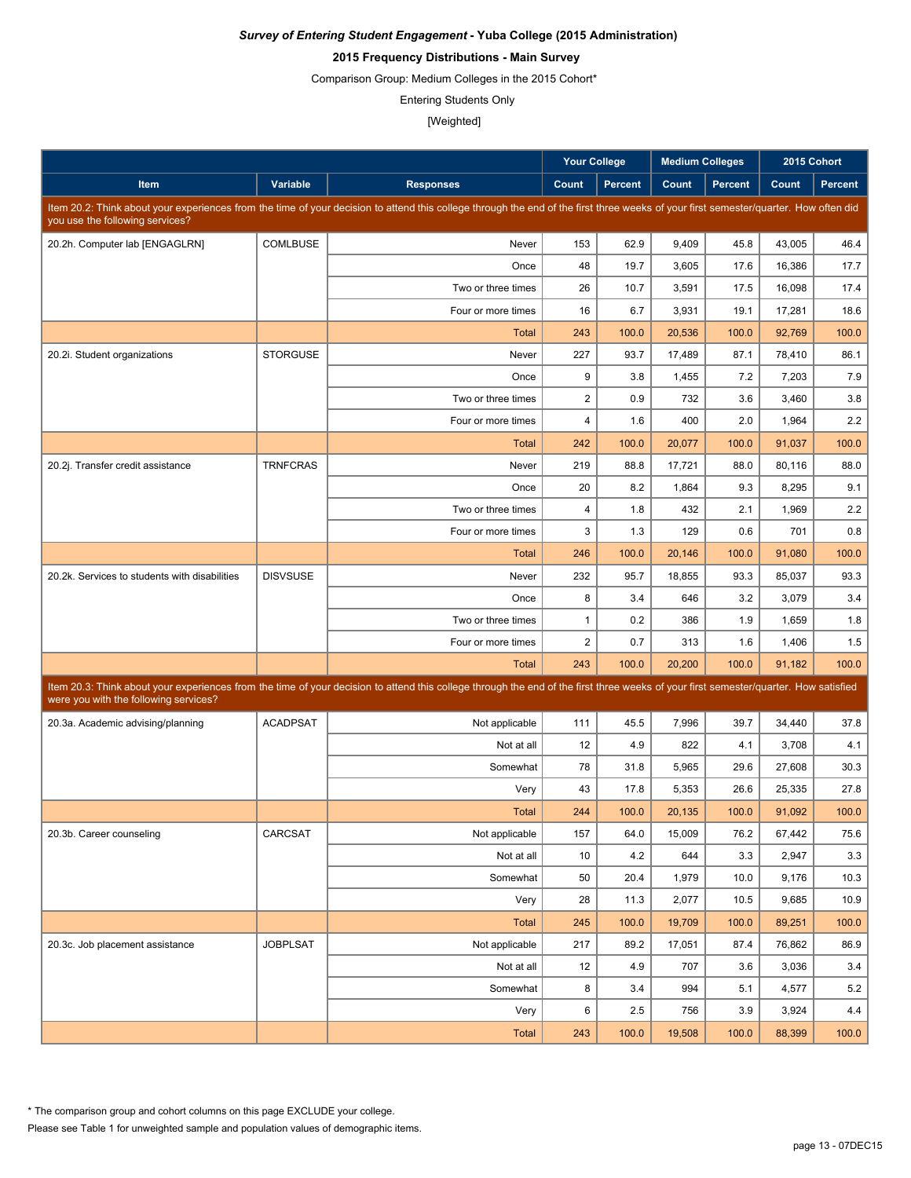# **2015 Frequency Distributions - Main Survey**

Comparison Group: Medium Colleges in the 2015 Cohort\*

Entering Students Only

|                                               |                 |                                                                                                                                                                                      | <b>Your College</b> |                | <b>Medium Colleges</b> |                |                  | 2015 Cohort    |
|-----------------------------------------------|-----------------|--------------------------------------------------------------------------------------------------------------------------------------------------------------------------------------|---------------------|----------------|------------------------|----------------|------------------|----------------|
| Item                                          | Variable        | <b>Responses</b>                                                                                                                                                                     | Count               | <b>Percent</b> | Count                  | <b>Percent</b> | Count            | <b>Percent</b> |
|                                               |                 | Item 20.2: Think about your experiences from the time of your decision to attend this college through the end of the first three weeks of your first semester/quarter. How often did |                     |                |                        |                |                  |                |
| you use the following services?               |                 |                                                                                                                                                                                      |                     |                |                        |                |                  |                |
| 20.2h. Computer lab [ENGAGLRN]                | COMLBUSE        | Never                                                                                                                                                                                | 153                 | 62.9           | 9,409                  | 45.8           | 43,005           | 46.4           |
|                                               |                 | Once                                                                                                                                                                                 | 48                  | 19.7           | 3,605                  | 17.6           | 16,386           | 17.7           |
|                                               |                 | Two or three times                                                                                                                                                                   | 26<br>16            | 10.7<br>6.7    | 3,591                  | 17.5<br>19.1   | 16,098           | 17.4<br>18.6   |
|                                               |                 | Four or more times                                                                                                                                                                   | 243                 | 100.0          | 3,931<br>20,536        | 100.0          | 17,281<br>92,769 | 100.0          |
|                                               | <b>STORGUSE</b> | Total<br>Never                                                                                                                                                                       | 227                 | 93.7           | 17,489                 | 87.1           | 78.410           | 86.1           |
| 20.2i. Student organizations                  |                 | Once                                                                                                                                                                                 | 9                   | 3.8            | 1,455                  | 7.2            | 7,203            | 7.9            |
|                                               |                 | Two or three times                                                                                                                                                                   | $\boldsymbol{2}$    | 0.9            | 732                    | 3.6            | 3,460            | 3.8            |
|                                               |                 | Four or more times                                                                                                                                                                   | 4                   | 1.6            | 400                    | 2.0            | 1,964            | 2.2            |
|                                               |                 | Total                                                                                                                                                                                | 242                 | 100.0          | 20,077                 | 100.0          | 91,037           | 100.0          |
| 20.2j. Transfer credit assistance             | <b>TRNFCRAS</b> | Never                                                                                                                                                                                | 219                 | 88.8           | 17,721                 | 88.0           | 80,116           | 88.0           |
|                                               |                 | Once                                                                                                                                                                                 | 20                  | 8.2            | 1,864                  | 9.3            | 8,295            | 9.1            |
|                                               |                 | Two or three times                                                                                                                                                                   | 4                   | 1.8            | 432                    | 2.1            | 1,969            | 2.2            |
|                                               |                 | Four or more times                                                                                                                                                                   | 3                   | 1.3            | 129                    | 0.6            | 701              | 0.8            |
|                                               |                 | <b>Total</b>                                                                                                                                                                         | 246                 | 100.0          | 20,146                 | 100.0          | 91,080           | 100.0          |
| 20.2k. Services to students with disabilities | <b>DISVSUSE</b> | Never                                                                                                                                                                                | 232                 | 95.7           | 18,855                 | 93.3           | 85,037           | 93.3           |
|                                               |                 | Once                                                                                                                                                                                 | 8                   | 3.4            | 646                    | 3.2            | 3,079            | 3.4            |
|                                               |                 | Two or three times                                                                                                                                                                   | $\mathbf{1}$        | 0.2            | 386                    | 1.9            | 1,659            | 1.8            |
|                                               |                 | Four or more times                                                                                                                                                                   | $\overline{2}$      | 0.7            | 313                    | 1.6            | 1,406            | 1.5            |
|                                               |                 | <b>Total</b>                                                                                                                                                                         | 243                 | 100.0          | 20,200                 | 100.0          | 91,182           | 100.0          |
|                                               |                 | Item 20.3: Think about your experiences from the time of your decision to attend this college through the end of the first three weeks of your first semester/quarter. How satisfied |                     |                |                        |                |                  |                |
| were you with the following services?         |                 |                                                                                                                                                                                      |                     |                |                        |                |                  |                |
| 20.3a. Academic advising/planning             | <b>ACADPSAT</b> | Not applicable                                                                                                                                                                       | 111                 | 45.5           | 7,996                  | 39.7           | 34,440           | 37.8           |
|                                               |                 | Not at all                                                                                                                                                                           | 12                  | 4.9            | 822                    | 4.1            | 3,708            | 4.1            |
|                                               |                 | Somewhat                                                                                                                                                                             | 78                  | 31.8           | 5,965                  | 29.6           | 27,608           | 30.3           |
|                                               |                 | Very                                                                                                                                                                                 | 43                  | 17.8           | 5,353                  | 26.6           | 25,335           | 27.8           |
|                                               |                 | <b>Total</b>                                                                                                                                                                         | 244                 | 100.0          | 20,135                 | 100.0          | 91,092           | 100.0          |
| 20.3b. Career counseling                      | CARCSAT         | Not applicable                                                                                                                                                                       | 157                 | 64.0           | 15,009                 | 76.2           | 67,442           | 75.6           |
|                                               |                 | Not at all                                                                                                                                                                           | 10                  | 4.2            | 644                    | 3.3            | 2,947            | 3.3            |
|                                               |                 | Somewhat                                                                                                                                                                             | 50                  | 20.4           | 1,979                  | 10.0           | 9,176            | 10.3           |
|                                               |                 | Very                                                                                                                                                                                 | 28                  | 11.3           | 2,077                  | 10.5           | 9,685            | 10.9           |
|                                               |                 | <b>Total</b>                                                                                                                                                                         | 245                 | 100.0          | 19,709                 | 100.0          | 89,251           | 100.0          |
| 20.3c. Job placement assistance               | <b>JOBPLSAT</b> | Not applicable                                                                                                                                                                       | 217                 | 89.2           | 17,051                 | 87.4           | 76,862           | 86.9           |
|                                               |                 | Not at all                                                                                                                                                                           | 12                  | 4.9            | 707                    | 3.6            | 3,036            | 3.4            |
|                                               |                 | Somewhat                                                                                                                                                                             | 8                   | 3.4            | 994                    | 5.1            | 4,577            | 5.2            |
|                                               |                 | Very                                                                                                                                                                                 | 6                   | 2.5            | 756                    | 3.9            | 3,924            | 4.4            |
|                                               |                 | Total                                                                                                                                                                                | 243                 | 100.0          | 19,508                 | 100.0          | 88,399           | 100.0          |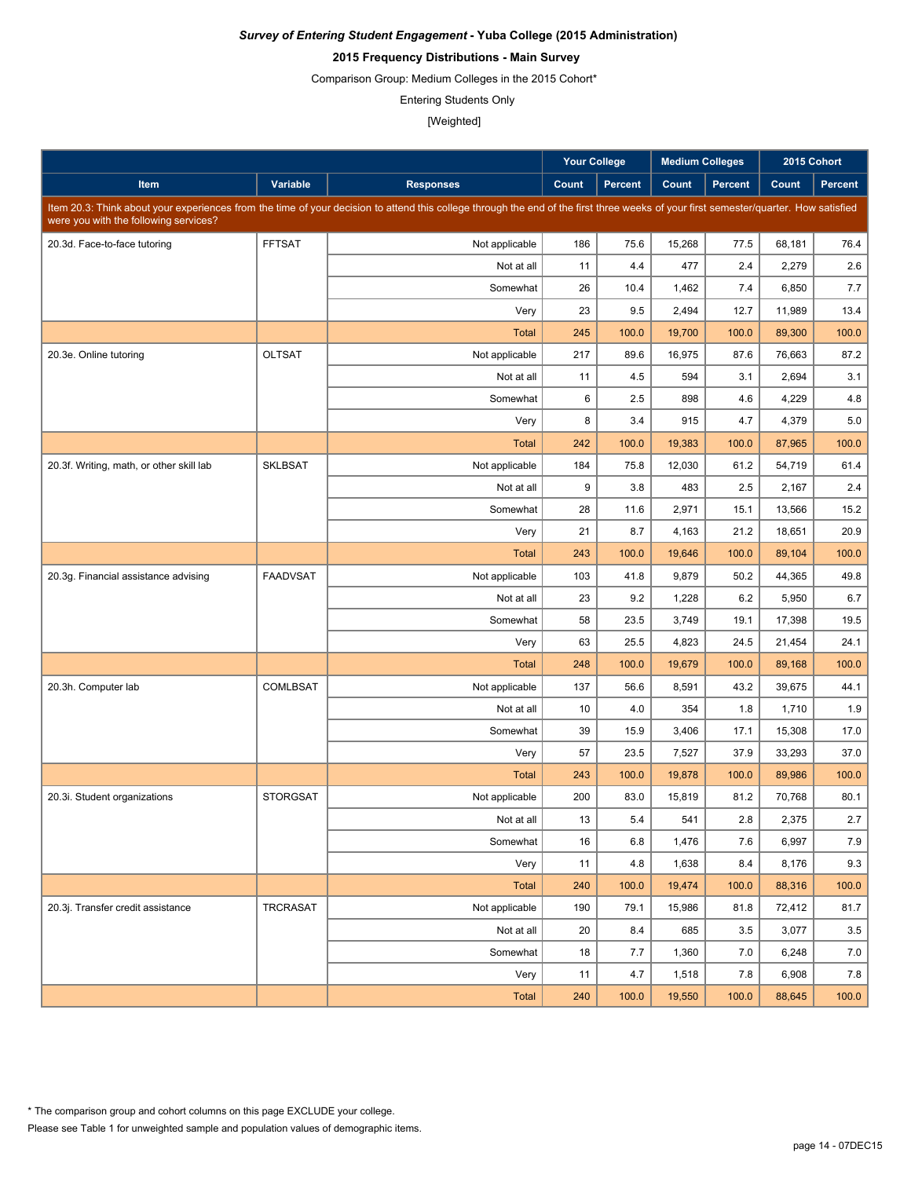# **2015 Frequency Distributions - Main Survey**

Comparison Group: Medium Colleges in the 2015 Cohort\*

Entering Students Only

|                                          |                 |                                                                                                                                                                                      | <b>Your College</b> |                |        | <b>Medium Colleges</b> |        | 2015 Cohort    |
|------------------------------------------|-----------------|--------------------------------------------------------------------------------------------------------------------------------------------------------------------------------------|---------------------|----------------|--------|------------------------|--------|----------------|
| <b>Item</b>                              | Variable        | <b>Responses</b>                                                                                                                                                                     | Count               | <b>Percent</b> | Count  | <b>Percent</b>         | Count  | <b>Percent</b> |
| were you with the following services?    |                 | Item 20.3: Think about your experiences from the time of your decision to attend this college through the end of the first three weeks of your first semester/quarter. How satisfied |                     |                |        |                        |        |                |
| 20.3d. Face-to-face tutoring             | <b>FFTSAT</b>   | Not applicable                                                                                                                                                                       | 186                 | 75.6           | 15,268 | 77.5                   | 68,181 | 76.4           |
|                                          |                 | Not at all                                                                                                                                                                           | 11                  | 4.4            | 477    | 2.4                    | 2,279  | 2.6            |
|                                          |                 | Somewhat                                                                                                                                                                             | 26                  | 10.4           | 1,462  | 7.4                    | 6,850  | 7.7            |
|                                          |                 | Very                                                                                                                                                                                 | 23                  | 9.5            | 2,494  | 12.7                   | 11,989 | 13.4           |
|                                          |                 | <b>Total</b>                                                                                                                                                                         | 245                 | 100.0          | 19,700 | 100.0                  | 89,300 | 100.0          |
| 20.3e. Online tutoring                   | <b>OLTSAT</b>   | Not applicable                                                                                                                                                                       | 217                 | 89.6           | 16.975 | 87.6                   | 76,663 | 87.2           |
|                                          |                 | Not at all                                                                                                                                                                           | 11                  | 4.5            | 594    | 3.1                    | 2,694  | 3.1            |
|                                          |                 | Somewhat                                                                                                                                                                             | 6                   | 2.5            | 898    | 4.6                    | 4,229  | 4.8            |
|                                          |                 | Very                                                                                                                                                                                 | 8                   | 3.4            | 915    | 4.7                    | 4,379  | 5.0            |
|                                          |                 | Total                                                                                                                                                                                | 242                 | 100.0          | 19,383 | 100.0                  | 87,965 | 100.0          |
| 20.3f. Writing, math, or other skill lab | <b>SKLBSAT</b>  | Not applicable                                                                                                                                                                       | 184                 | 75.8           | 12,030 | 61.2                   | 54,719 | 61.4           |
|                                          |                 | Not at all                                                                                                                                                                           | 9                   | 3.8            | 483    | 2.5                    | 2,167  | 2.4            |
|                                          |                 | Somewhat                                                                                                                                                                             | 28                  | 11.6           | 2,971  | 15.1                   | 13,566 | 15.2           |
|                                          |                 | Very                                                                                                                                                                                 | 21                  | 8.7            | 4,163  | 21.2                   | 18,651 | 20.9           |
|                                          |                 | <b>Total</b>                                                                                                                                                                         | 243                 | 100.0          | 19,646 | 100.0                  | 89,104 | 100.0          |
| 20.3g. Financial assistance advising     | <b>FAADVSAT</b> | Not applicable                                                                                                                                                                       | 103                 | 41.8           | 9,879  | 50.2                   | 44,365 | 49.8           |
|                                          |                 | Not at all                                                                                                                                                                           | 23                  | 9.2            | 1,228  | 6.2                    | 5,950  | 6.7            |
|                                          |                 | Somewhat                                                                                                                                                                             | 58                  | 23.5           | 3,749  | 19.1                   | 17,398 | 19.5           |
|                                          |                 | Very                                                                                                                                                                                 | 63                  | 25.5           | 4,823  | 24.5                   | 21,454 | 24.1           |
|                                          |                 | <b>Total</b>                                                                                                                                                                         | 248                 | 100.0          | 19,679 | 100.0                  | 89,168 | 100.0          |
| 20.3h. Computer lab                      | COMLBSAT        | Not applicable                                                                                                                                                                       | 137                 | 56.6           | 8,591  | 43.2                   | 39,675 | 44.1           |
|                                          |                 | Not at all                                                                                                                                                                           | 10                  | 4.0            | 354    | 1.8                    | 1,710  | 1.9            |
|                                          |                 | Somewhat                                                                                                                                                                             | 39                  | 15.9           | 3,406  | 17.1                   | 15,308 | 17.0           |
|                                          |                 | Very                                                                                                                                                                                 | 57                  | 23.5           | 7,527  | 37.9                   | 33,293 | 37.0           |
|                                          |                 | <b>Total</b>                                                                                                                                                                         | 243                 | 100.0          | 19,878 | 100.0                  | 89,986 | 100.0          |
| 20.3i. Student organizations             | <b>STORGSAT</b> | Not applicable                                                                                                                                                                       | 200                 | 83.0           | 15,819 | 81.2                   | 70,768 | 80.1           |
|                                          |                 | Not at all                                                                                                                                                                           | $13\,$              | $5.4\,$        | 541    | 2.8                    | 2,375  | 2.7            |
|                                          |                 | Somewhat                                                                                                                                                                             | 16                  | 6.8            | 1,476  | 7.6                    | 6,997  | 7.9            |
|                                          |                 | Very                                                                                                                                                                                 | 11                  | 4.8            | 1,638  | 8.4                    | 8,176  | 9.3            |
|                                          |                 | Total                                                                                                                                                                                | 240                 | 100.0          | 19,474 | 100.0                  | 88,316 | 100.0          |
| 20.3j. Transfer credit assistance        | TRCRASAT        | Not applicable                                                                                                                                                                       | 190                 | 79.1           | 15,986 | 81.8                   | 72,412 | 81.7           |
|                                          |                 | Not at all                                                                                                                                                                           | 20                  | 8.4            | 685    | 3.5                    | 3,077  | 3.5            |
|                                          |                 | Somewhat                                                                                                                                                                             | 18                  | 7.7            | 1,360  | 7.0                    | 6,248  | 7.0            |
|                                          |                 | Very                                                                                                                                                                                 | 11                  | 4.7            | 1,518  | 7.8                    | 6,908  | 7.8            |
|                                          |                 | Total                                                                                                                                                                                | 240                 | 100.0          | 19,550 | 100.0                  | 88,645 | 100.0          |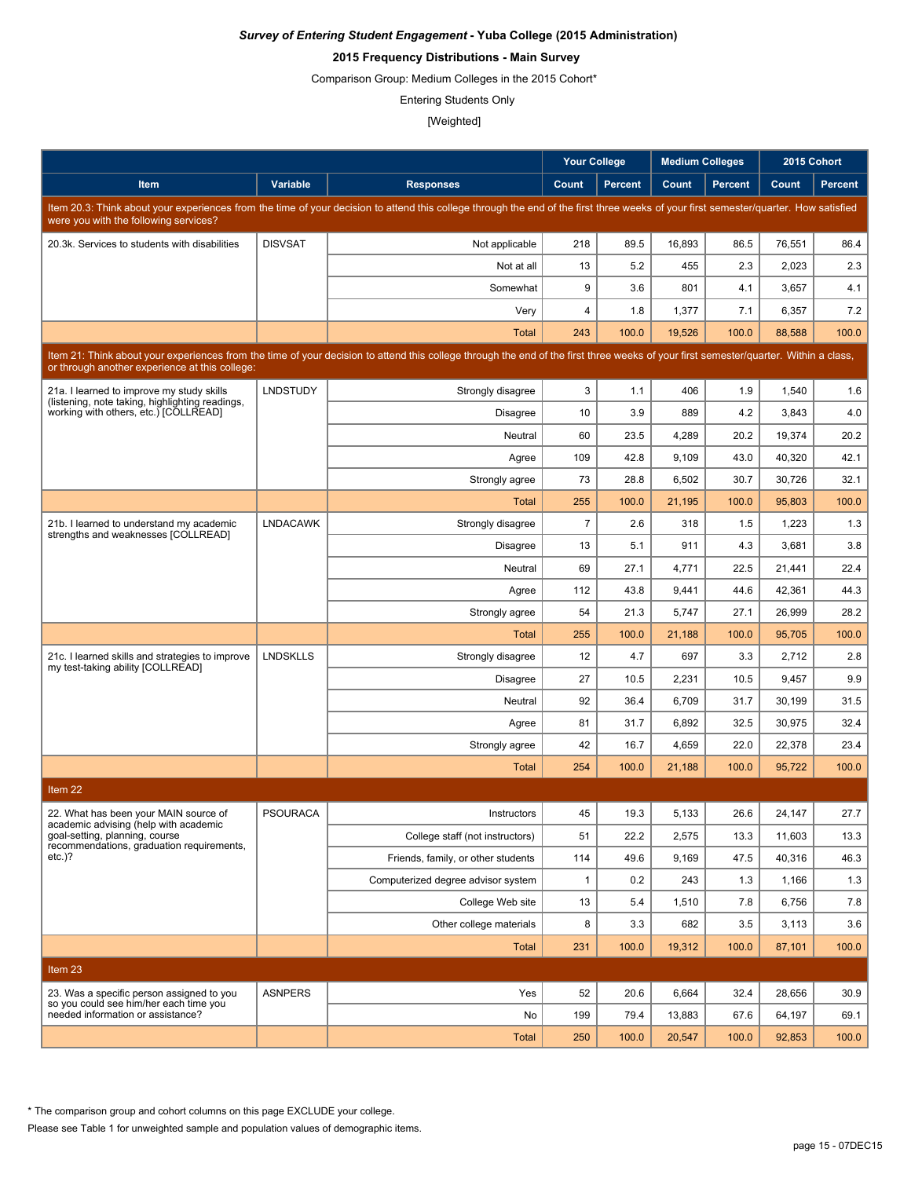## **2015 Frequency Distributions - Main Survey**

Comparison Group: Medium Colleges in the 2015 Cohort\*

Entering Students Only

[Weighted]

|                                                                                          |                 |                                                                                                                                                                                      | <b>Your College</b> |                | <b>Medium Colleges</b> |                |        | 2015 Cohort    |
|------------------------------------------------------------------------------------------|-----------------|--------------------------------------------------------------------------------------------------------------------------------------------------------------------------------------|---------------------|----------------|------------------------|----------------|--------|----------------|
| Item                                                                                     | Variable        | <b>Responses</b>                                                                                                                                                                     | Count               | <b>Percent</b> | Count                  | <b>Percent</b> | Count  | <b>Percent</b> |
|                                                                                          |                 | Item 20.3: Think about your experiences from the time of your decision to attend this college through the end of the first three weeks of your first semester/quarter. How satisfied |                     |                |                        |                |        |                |
| were you with the following services?                                                    |                 |                                                                                                                                                                                      |                     |                |                        |                |        |                |
| 20.3k. Services to students with disabilities                                            | <b>DISVSAT</b>  | Not applicable                                                                                                                                                                       | 218                 | 89.5           | 16,893                 | 86.5           | 76,551 | 86.4           |
|                                                                                          |                 | Not at all                                                                                                                                                                           | 13                  | 5.2            | 455                    | 2.3            | 2,023  | 2.3            |
|                                                                                          |                 | Somewhat                                                                                                                                                                             | 9                   | 3.6            | 801                    | 4.1            | 3,657  | 4.1            |
|                                                                                          |                 | Very                                                                                                                                                                                 | 4                   | 1.8            | 1,377                  | 7.1            | 6,357  | 7.2            |
|                                                                                          |                 | <b>Total</b>                                                                                                                                                                         | 243                 | 100.0          | 19,526                 | 100.0          | 88,588 | 100.0          |
| or through another experience at this college:                                           |                 | Item 21: Think about your experiences from the time of your decision to attend this college through the end of the first three weeks of your first semester/quarter. Within a class, |                     |                |                        |                |        |                |
| 21a. I learned to improve my study skills                                                | <b>LNDSTUDY</b> | Strongly disagree                                                                                                                                                                    | 3                   | 1.1            | 406                    | 1.9            | 1,540  | 1.6            |
| (listening, note taking, highlighting readings,<br>working with others, etc.) [COLLREAD] |                 | <b>Disagree</b>                                                                                                                                                                      | 10                  | 3.9            | 889                    | 4.2            | 3,843  | 4.0            |
|                                                                                          |                 | Neutral                                                                                                                                                                              | 60                  | 23.5           | 4,289                  | 20.2           | 19,374 | 20.2           |
|                                                                                          |                 | Agree                                                                                                                                                                                | 109                 | 42.8           | 9,109                  | 43.0           | 40,320 | 42.1           |
|                                                                                          |                 | Strongly agree                                                                                                                                                                       | 73                  | 28.8           | 6,502                  | 30.7           | 30,726 | 32.1           |
|                                                                                          |                 | Total                                                                                                                                                                                | 255                 | 100.0          | 21,195                 | 100.0          | 95,803 | 100.0          |
| 21b. I learned to understand my academic                                                 | <b>LNDACAWK</b> | Strongly disagree                                                                                                                                                                    | $\overline{7}$      | 2.6            | 318                    | 1.5            | 1,223  | 1.3            |
| strengths and weaknesses [COLLREAD]                                                      |                 | <b>Disagree</b>                                                                                                                                                                      | 13                  | 5.1            | 911                    | 4.3            | 3,681  | 3.8            |
|                                                                                          |                 | Neutral                                                                                                                                                                              | 69                  | 27.1           | 4,771                  | 22.5           | 21,441 | 22.4           |
|                                                                                          |                 | Agree                                                                                                                                                                                | 112                 | 43.8           | 9,441                  | 44.6           | 42,361 | 44.3           |
|                                                                                          |                 | Strongly agree                                                                                                                                                                       | 54                  | 21.3           | 5,747                  | 27.1           | 26,999 | 28.2           |
|                                                                                          |                 | Total                                                                                                                                                                                | 255                 | 100.0          | 21,188                 | 100.0          | 95,705 | 100.0          |
| 21c. I learned skills and strategies to improve                                          | <b>LNDSKLLS</b> | Strongly disagree                                                                                                                                                                    | 12                  | 4.7            | 697                    | 3.3            | 2,712  | 2.8            |
| my test-taking ability [COLLREAD]                                                        |                 | <b>Disagree</b>                                                                                                                                                                      | 27                  | 10.5           | 2,231                  | 10.5           | 9,457  | 9.9            |
|                                                                                          |                 | Neutral                                                                                                                                                                              | 92                  | 36.4           | 6,709                  | 31.7           | 30,199 | 31.5           |
|                                                                                          |                 | Agree                                                                                                                                                                                | 81                  | 31.7           | 6,892                  | 32.5           | 30,975 | 32.4           |
|                                                                                          |                 | Strongly agree                                                                                                                                                                       | 42                  | 16.7           | 4,659                  | 22.0           | 22,378 | 23.4           |
|                                                                                          |                 | <b>Total</b>                                                                                                                                                                         | 254                 | 100.0          | 21,188                 | 100.0          | 95,722 | 100.0          |
| Item <sub>22</sub>                                                                       |                 |                                                                                                                                                                                      |                     |                |                        |                |        |                |
| 22. What has been your MAIN source of                                                    | PSOURACA        | Instructors                                                                                                                                                                          | 45                  | 19.3           | 5,133                  | 26.6           | 24,147 | 27.7           |
| academic advising (help with academic<br>goal-setting, planning, course                  |                 | College staff (not instructors)                                                                                                                                                      | 51                  | 22.2           | 2,575                  | 13.3           | 11,603 | 13.3           |
| recommendations, graduation requirements,<br>$etc.$ )?                                   |                 | Friends, family, or other students                                                                                                                                                   | 114                 | 49.6           | 9,169                  | 47.5           | 40,316 | 46.3           |
|                                                                                          |                 | Computerized degree advisor system                                                                                                                                                   | $\mathbf{1}$        | 0.2            | 243                    | 1.3            | 1,166  | 1.3            |
|                                                                                          |                 | College Web site                                                                                                                                                                     | 13                  | 5.4            | 1,510                  | 7.8            | 6,756  | 7.8            |
|                                                                                          |                 | Other college materials                                                                                                                                                              | 8                   | 3.3            | 682                    | 3.5            | 3,113  | 3.6            |
|                                                                                          |                 | <b>Total</b>                                                                                                                                                                         | 231                 | 100.0          | 19,312                 | 100.0          | 87,101 | 100.0          |
| Item 23                                                                                  |                 |                                                                                                                                                                                      |                     |                |                        |                |        |                |
| 23. Was a specific person assigned to you                                                | <b>ASNPERS</b>  | Yes                                                                                                                                                                                  | 52                  | 20.6           | 6,664                  | 32.4           | 28,656 | 30.9           |
| so you could see him/her each time you<br>needed information or assistance?              |                 | No                                                                                                                                                                                   | 199                 | 79.4           | 13,883                 | 67.6           | 64,197 | 69.1           |
|                                                                                          |                 | Total                                                                                                                                                                                | 250                 | 100.0          | 20,547                 | 100.0          | 92,853 | 100.0          |

\* The comparison group and cohort columns on this page EXCLUDE your college.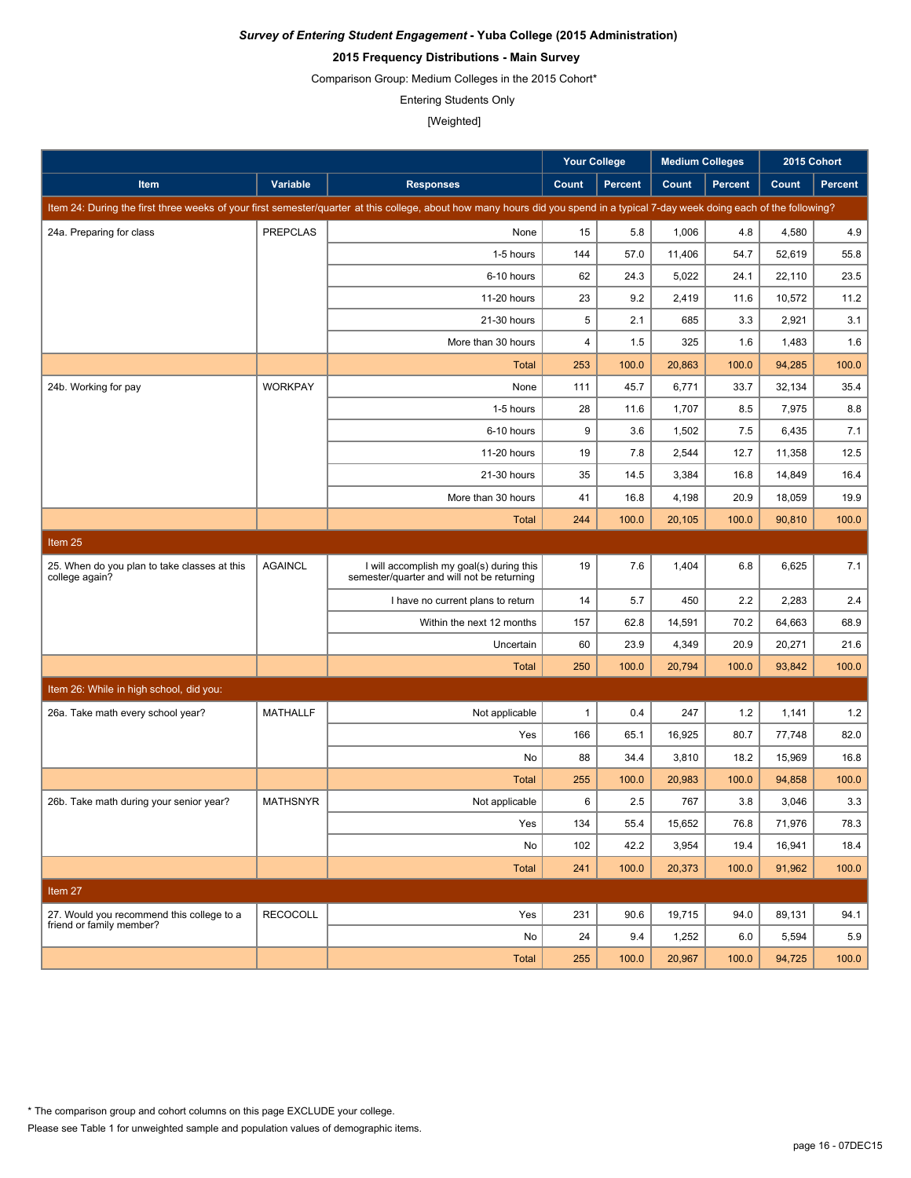## **2015 Frequency Distributions - Main Survey**

Comparison Group: Medium Colleges in the 2015 Cohort\*

Entering Students Only

[Weighted]

|                                                                |                 |                                                                                                                                                                               | Your College |                | <b>Medium Colleges</b> |                | 2015 Cohort |                |
|----------------------------------------------------------------|-----------------|-------------------------------------------------------------------------------------------------------------------------------------------------------------------------------|--------------|----------------|------------------------|----------------|-------------|----------------|
| Item                                                           | Variable        | <b>Responses</b>                                                                                                                                                              | Count        | <b>Percent</b> | Count                  | <b>Percent</b> | Count       | <b>Percent</b> |
|                                                                |                 | Item 24: During the first three weeks of your first semester/quarter at this college, about how many hours did you spend in a typical 7-day week doing each of the following? |              |                |                        |                |             |                |
| 24a. Preparing for class                                       | <b>PREPCLAS</b> | None                                                                                                                                                                          | 15           | 5.8            | 1,006                  | 4.8            | 4,580       | 4.9            |
|                                                                |                 | 1-5 hours                                                                                                                                                                     | 144          | 57.0           | 11,406                 | 54.7           | 52.619      | 55.8           |
|                                                                |                 | 6-10 hours                                                                                                                                                                    | 62           | 24.3           | 5,022                  | 24.1           | 22,110      | 23.5           |
|                                                                |                 | 11-20 hours                                                                                                                                                                   | 23           | 9.2            | 2,419                  | 11.6           | 10,572      | 11.2           |
|                                                                |                 | 21-30 hours                                                                                                                                                                   | 5            | 2.1            | 685                    | 3.3            | 2,921       | 3.1            |
|                                                                |                 | More than 30 hours                                                                                                                                                            | 4            | 1.5            | 325                    | 1.6            | 1,483       | 1.6            |
|                                                                |                 | Total                                                                                                                                                                         | 253          | 100.0          | 20,863                 | 100.0          | 94,285      | 100.0          |
| 24b. Working for pay                                           | <b>WORKPAY</b>  | None                                                                                                                                                                          | 111          | 45.7           | 6,771                  | 33.7           | 32,134      | 35.4           |
|                                                                |                 | 1-5 hours                                                                                                                                                                     | 28           | 11.6           | 1,707                  | 8.5            | 7,975       | 8.8            |
|                                                                |                 | 6-10 hours                                                                                                                                                                    | 9            | 3.6            | 1,502                  | 7.5            | 6,435       | 7.1            |
|                                                                |                 | 11-20 hours                                                                                                                                                                   | 19           | 7.8            | 2,544                  | 12.7           | 11,358      | 12.5           |
|                                                                |                 | 21-30 hours                                                                                                                                                                   | 35           | 14.5           | 3,384                  | 16.8           | 14,849      | 16.4           |
|                                                                |                 | More than 30 hours                                                                                                                                                            | 41           | 16.8           | 4,198                  | 20.9           | 18,059      | 19.9           |
|                                                                |                 | <b>Total</b>                                                                                                                                                                  | 244          | 100.0          | 20.105                 | 100.0          | 90,810      | 100.0          |
| Item 25                                                        |                 |                                                                                                                                                                               |              |                |                        |                |             |                |
| 25. When do you plan to take classes at this<br>college again? | <b>AGAINCL</b>  | I will accomplish my goal(s) during this<br>semester/quarter and will not be returning                                                                                        | 19           | 7.6            | 1,404                  | 6.8            | 6,625       | 7.1            |
|                                                                |                 | I have no current plans to return                                                                                                                                             | 14           | 5.7            | 450                    | 2.2            | 2,283       | 2.4            |
|                                                                |                 | Within the next 12 months                                                                                                                                                     | 157          | 62.8           | 14,591                 | 70.2           | 64,663      | 68.9           |
|                                                                |                 | Uncertain                                                                                                                                                                     | 60           | 23.9           | 4,349                  | 20.9           | 20,271      | 21.6           |
|                                                                |                 | <b>Total</b>                                                                                                                                                                  | 250          | 100.0          | 20,794                 | 100.0          | 93,842      | 100.0          |
| Item 26: While in high school, did you:                        |                 |                                                                                                                                                                               |              |                |                        |                |             |                |
| 26a. Take math every school year?                              | <b>MATHALLF</b> | Not applicable                                                                                                                                                                | $\mathbf{1}$ | 0.4            | 247                    | 1.2            | 1,141       | 1.2            |
|                                                                |                 | Yes                                                                                                                                                                           | 166          | 65.1           | 16,925                 | 80.7           | 77,748      | 82.0           |
|                                                                |                 | No                                                                                                                                                                            | 88           | 34.4           | 3,810                  | 18.2           | 15,969      | 16.8           |
|                                                                |                 | <b>Total</b>                                                                                                                                                                  | 255          | 100.0          | 20,983                 | 100.0          | 94,858      | 100.0          |
| 26b. Take math during your senior year?                        | <b>MATHSNYR</b> | Not applicable                                                                                                                                                                | 6            | 2.5            | 767                    | 3.8            | 3,046       | 3.3            |
|                                                                |                 | Yes                                                                                                                                                                           | 134          | 55.4           | 15,652                 | 76.8           | 71,976      | 78.3           |
|                                                                |                 | No                                                                                                                                                                            | 102          | 42.2           | 3,954                  | 19.4           | 16,941      | 18.4           |
|                                                                |                 | Total                                                                                                                                                                         | 241          | 100.0          | 20,373                 | 100.0          | 91,962      | 100.0          |
| Item 27                                                        |                 |                                                                                                                                                                               |              |                |                        |                |             |                |
| 27. Would you recommend this college to a                      | <b>RECOCOLL</b> | Yes                                                                                                                                                                           | 231          | 90.6           | 19,715                 | 94.0           | 89,131      | 94.1           |
| friend or family member?                                       |                 | No                                                                                                                                                                            | 24           | 9.4            | 1,252                  | 6.0            | 5,594       | 5.9            |
|                                                                |                 | <b>Total</b>                                                                                                                                                                  | 255          | 100.0          | 20,967                 | 100.0          | 94,725      | 100.0          |

\* The comparison group and cohort columns on this page EXCLUDE your college.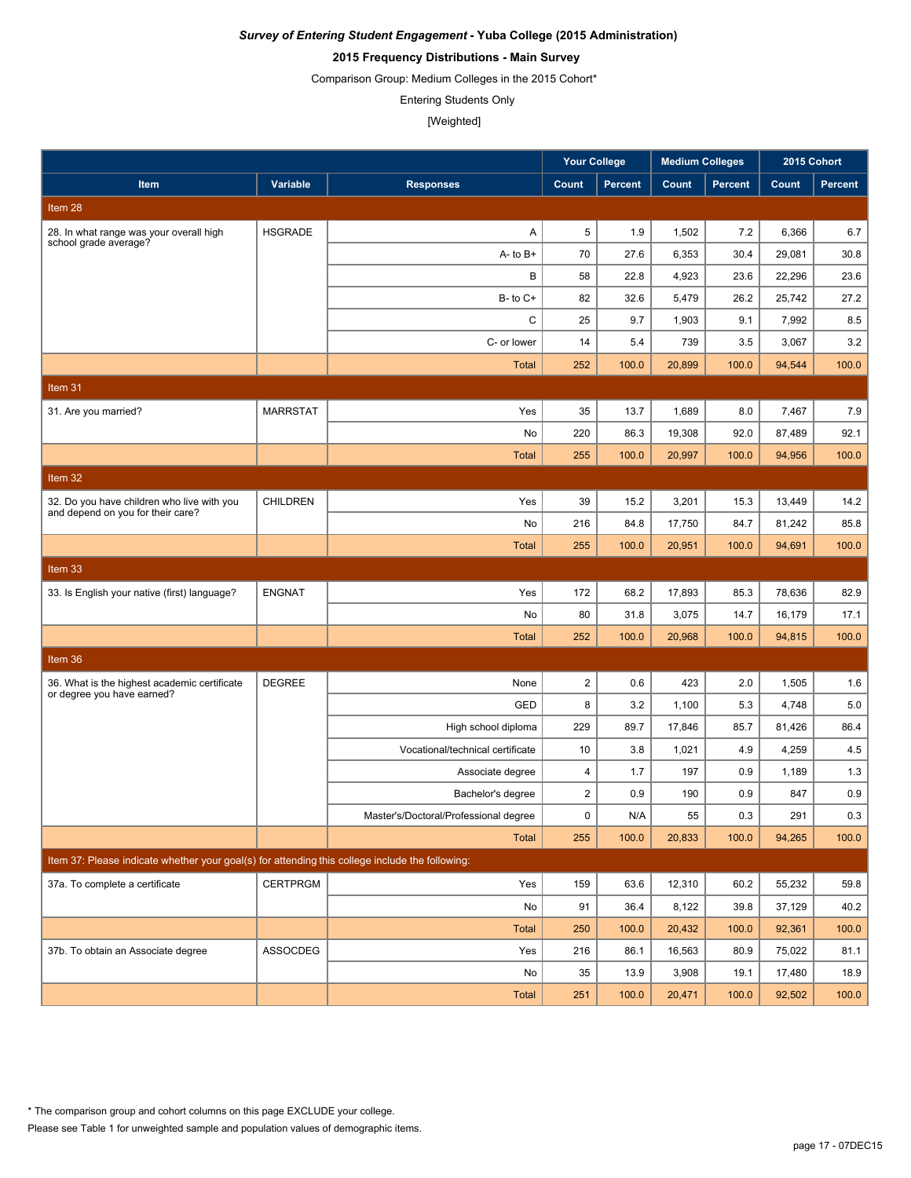## **2015 Frequency Distributions - Main Survey**

Comparison Group: Medium Colleges in the 2015 Cohort\*

Entering Students Only

|                                                                                                 |                 |                                       |                  | <b>Your College</b><br><b>Medium Colleges</b> |        | 2015 Cohort    |        |                |
|-------------------------------------------------------------------------------------------------|-----------------|---------------------------------------|------------------|-----------------------------------------------|--------|----------------|--------|----------------|
| Item                                                                                            | Variable        | <b>Responses</b>                      | Count            | <b>Percent</b>                                | Count  | <b>Percent</b> | Count  | <b>Percent</b> |
| Item 28                                                                                         |                 |                                       |                  |                                               |        |                |        |                |
| 28. In what range was your overall high                                                         | <b>HSGRADE</b>  | A                                     | 5                | 1.9                                           | 1,502  | 7.2            | 6,366  | 6.7            |
| school grade average?                                                                           |                 | $A - to B +$                          | 70               | 27.6                                          | 6,353  | 30.4           | 29,081 | 30.8           |
|                                                                                                 |                 | В                                     | 58               | 22.8                                          | 4,923  | 23.6           | 22,296 | 23.6           |
|                                                                                                 |                 | $B-$ to $C+$                          | 82               | 32.6                                          | 5,479  | 26.2           | 25,742 | 27.2           |
|                                                                                                 |                 | C                                     | 25               | 9.7                                           | 1,903  | 9.1            | 7,992  | 8.5            |
|                                                                                                 |                 | C- or lower                           | 14               | 5.4                                           | 739    | 3.5            | 3,067  | 3.2            |
|                                                                                                 |                 | <b>Total</b>                          | 252              | 100.0                                         | 20,899 | 100.0          | 94,544 | 100.0          |
| Item 31                                                                                         |                 |                                       |                  |                                               |        |                |        |                |
| 31. Are you married?                                                                            | <b>MARRSTAT</b> | Yes                                   | 35               | 13.7                                          | 1,689  | 8.0            | 7,467  | 7.9            |
|                                                                                                 |                 | No                                    | 220              | 86.3                                          | 19,308 | 92.0           | 87,489 | 92.1           |
|                                                                                                 |                 | <b>Total</b>                          | 255              | 100.0                                         | 20,997 | 100.0          | 94,956 | 100.0          |
| Item 32                                                                                         |                 |                                       |                  |                                               |        |                |        |                |
| 32. Do you have children who live with you                                                      | <b>CHILDREN</b> | Yes                                   | 39               | 15.2                                          | 3,201  | 15.3           | 13,449 | 14.2           |
| and depend on you for their care?                                                               |                 | No                                    | 216              | 84.8                                          | 17,750 | 84.7           | 81,242 | 85.8           |
|                                                                                                 |                 | <b>Total</b>                          | 255              | 100.0                                         | 20,951 | 100.0          | 94,691 | 100.0          |
| Item 33                                                                                         |                 |                                       |                  |                                               |        |                |        |                |
| 33. Is English your native (first) language?                                                    | <b>ENGNAT</b>   | Yes                                   | 172              | 68.2                                          | 17,893 | 85.3           | 78,636 | 82.9           |
|                                                                                                 |                 | No                                    | 80               | 31.8                                          | 3,075  | 14.7           | 16,179 | 17.1           |
|                                                                                                 |                 | <b>Total</b>                          | 252              | 100.0                                         | 20,968 | 100.0          | 94,815 | 100.0          |
| Item 36                                                                                         |                 |                                       |                  |                                               |        |                |        |                |
| 36. What is the highest academic certificate                                                    | <b>DEGREE</b>   | None                                  | $\boldsymbol{2}$ | 0.6                                           | 423    | 2.0            | 1,505  | 1.6            |
| or degree you have earned?                                                                      |                 | GED                                   | 8                | 3.2                                           | 1,100  | 5.3            | 4,748  | 5.0            |
|                                                                                                 |                 | High school diploma                   | 229              | 89.7                                          | 17.846 | 85.7           | 81,426 | 86.4           |
|                                                                                                 |                 | Vocational/technical certificate      | 10               | 3.8                                           | 1,021  | 4.9            | 4,259  | 4.5            |
|                                                                                                 |                 | Associate degree                      | $\overline{4}$   | 1.7                                           | 197    | 0.9            | 1,189  | 1.3            |
|                                                                                                 |                 | Bachelor's degree                     | $\overline{2}$   | 0.9                                           | 190    | 0.9            | 847    | 0.9            |
|                                                                                                 |                 | Master's/Doctoral/Professional degree | 0                | N/A                                           | 55     | 0.3            | 291    | 0.3            |
|                                                                                                 |                 | Total                                 | 255              | 100.0                                         | 20,833 | 100.0          | 94,265 | 100.0          |
| Item 37: Please indicate whether your goal(s) for attending this college include the following: |                 |                                       |                  |                                               |        |                |        |                |
| 37a. To complete a certificate                                                                  | <b>CERTPRGM</b> | Yes                                   | 159              | 63.6                                          | 12,310 | 60.2           | 55,232 | 59.8           |
|                                                                                                 |                 | No                                    | 91               | 36.4                                          | 8,122  | 39.8           | 37,129 | 40.2           |
|                                                                                                 |                 | <b>Total</b>                          | 250              | 100.0                                         | 20,432 | 100.0          | 92,361 | 100.0          |
| 37b. To obtain an Associate degree                                                              | ASSOCDEG        | Yes                                   | 216              | 86.1                                          | 16,563 | 80.9           | 75,022 | 81.1           |
|                                                                                                 |                 | No                                    | 35               | 13.9                                          | 3,908  | 19.1           | 17,480 | 18.9           |
|                                                                                                 |                 | Total                                 | 251              | 100.0                                         | 20,471 | 100.0          | 92,502 | 100.0          |